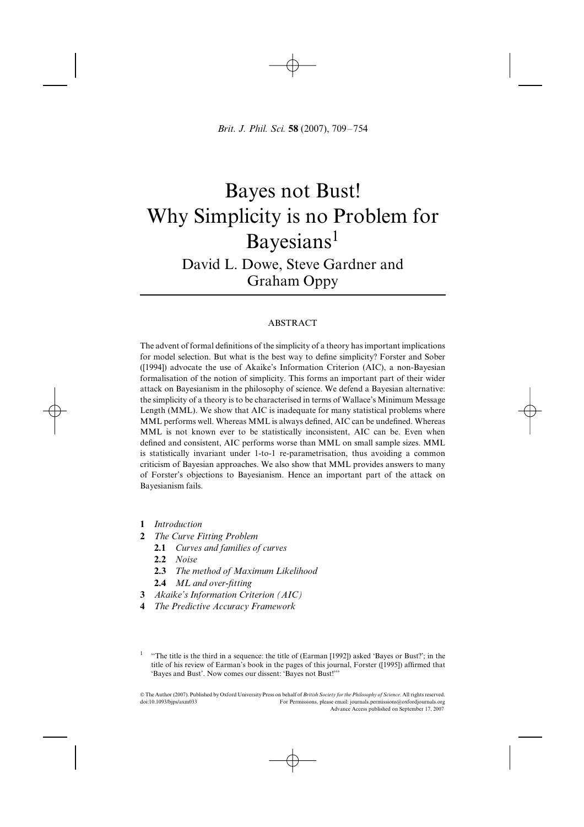*Brit. J. Phil. Sci.* **58** (2007), 709–754

# Bayes not Bust! Why Simplicity is no Problem for Bayesians<sup>1</sup>

# David L. Dowe, Steve Gardner and Graham Oppy

# ABSTRACT

The advent of formal definitions of the simplicity of a theory has important implications for model selection. But what is the best way to define simplicity? Forster and Sober ([1994]) advocate the use of Akaike's Information Criterion (AIC), a non-Bayesian formalisation of the notion of simplicity. This forms an important part of their wider attack on Bayesianism in the philosophy of science. We defend a Bayesian alternative: the simplicity of a theory is to be characterised in terms of Wallace's Minimum Message Length (MML). We show that AIC is inadequate for many statistical problems where MML performs well. Whereas MML is always defined, AIC can be undefined. Whereas MML is not known ever to be statistically inconsistent, AIC can be. Even when defined and consistent, AIC performs worse than MML on small sample sizes. MML is statistically invariant under 1-to-1 re-parametrisation, thus avoiding a common criticism of Bayesian approaches. We also show that MML provides answers to many of Forster's objections to Bayesianism. Hence an important part of the attack on Bayesianism fails.

- **1** *Introduction*
- **2** *The Curve Fitting Problem*
	- **2.1** *Curves and families of curves*
	- **2.2** *Noise*
	- **2.3** *The method of Maximum Likelihood*
	- **2.4** *ML and over-fitting*
- **3** *Akaike's Information Criterion (AIC)*
- **4** *The Predictive Accuracy Framework*

<sup>&</sup>lt;sup>1</sup> "The title is the third in a sequence: the title of (Earman [1992]) asked 'Bayes or Bust?'; in the title of his review of Earman's book in the pages of this journal, Forster ([1995]) affirmed that 'Bayes and Bust'. Now comes our dissent: 'Bayes not Bust!'''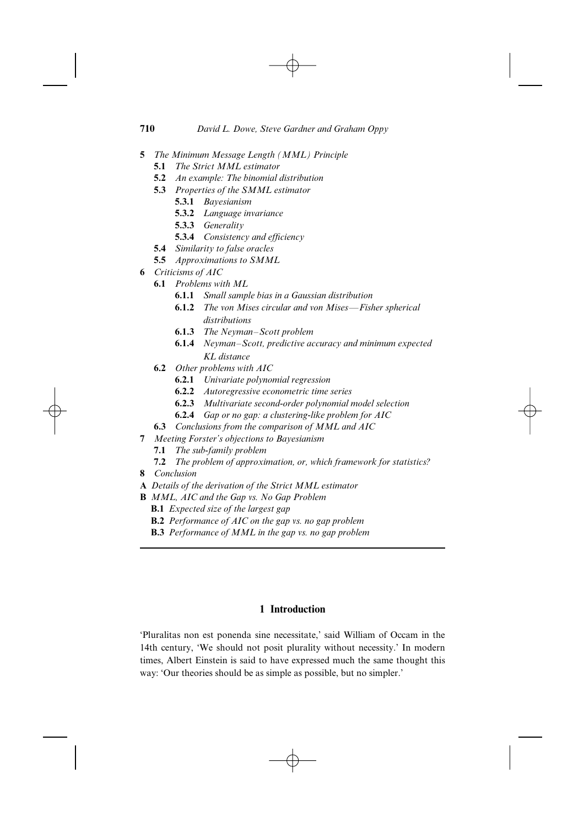- **5** *The Minimum Message Length (MML) Principle*
	- **5.1** *The Strict MML estimator*
	- **5.2** *An example: The binomial distribution*
	- **5.3** *Properties of the SMML estimator*
		- **5.3.1** *Bayesianism*
		- **5.3.2** *Language invariance*
		- **5.3.3** *Generality*
		- **5.3.4** *Consistency and efficiency*
	- **5.4** *Similarity to false oracles*
	- **5.5** *Approximations to SMML*
- **6** *Criticisms of AIC*
	- **6.1** *Problems with ML*
		- **6.1.1** *Small sample bias in a Gaussian distribution*
		- **6.1.2** *The von Mises circular and von Mises—Fisher spherical distributions*
		- **6.1.3** *The Neyman–Scott problem*
		- **6.1.4** *Neyman–Scott, predictive accuracy and minimum expected KL distance*
	- **6.2** *Other problems with AIC*
		- **6.2.1** *Univariate polynomial regression*
		- **6.2.2** *Autoregressive econometric time series*
		- **6.2.3** *Multivariate second-order polynomial model selection*
		- **6.2.4** *Gap or no gap: a clustering-like problem for AIC*
	- **6.3** *Conclusions from the comparison of MML and AIC*
- **7** *Meeting Forster's objections to Bayesianism*
	- **7.1** *The sub-family problem*
	- **7.2** *The problem of approximation, or, which framework for statistics?*
- **8** *Conclusion*
- **A** *Details of the derivation of the Strict MML estimator*
- **B** *MML, AIC and the Gap vs. No Gap Problem*
	- **B.1** *Expected size of the largest gap*
	- **B.2** *Performance of AIC on the gap vs. no gap problem*
	- **B.3** *Performance of MML in the gap vs. no gap problem*

# **1 Introduction**

'Pluralitas non est ponenda sine necessitate,' said William of Occam in the 14th century, 'We should not posit plurality without necessity.' In modern times, Albert Einstein is said to have expressed much the same thought this way: 'Our theories should be as simple as possible, but no simpler.'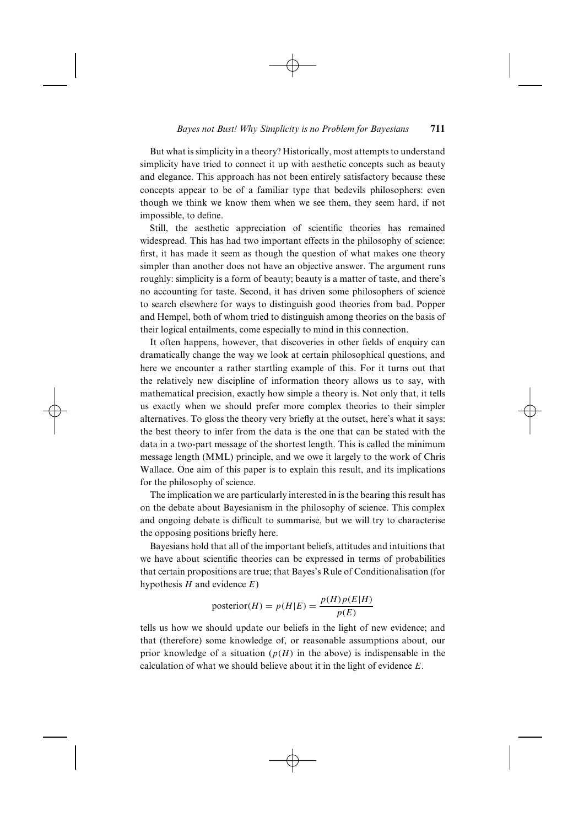But what is simplicity in a theory? Historically, most attempts to understand simplicity have tried to connect it up with aesthetic concepts such as beauty and elegance. This approach has not been entirely satisfactory because these concepts appear to be of a familiar type that bedevils philosophers: even though we think we know them when we see them, they seem hard, if not impossible, to define.

Still, the aesthetic appreciation of scientific theories has remained widespread. This has had two important effects in the philosophy of science: first, it has made it seem as though the question of what makes one theory simpler than another does not have an objective answer. The argument runs roughly: simplicity is a form of beauty; beauty is a matter of taste, and there's no accounting for taste. Second, it has driven some philosophers of science to search elsewhere for ways to distinguish good theories from bad. Popper and Hempel, both of whom tried to distinguish among theories on the basis of their logical entailments, come especially to mind in this connection.

It often happens, however, that discoveries in other fields of enquiry can dramatically change the way we look at certain philosophical questions, and here we encounter a rather startling example of this. For it turns out that the relatively new discipline of information theory allows us to say, with mathematical precision, exactly how simple a theory is. Not only that, it tells us exactly when we should prefer more complex theories to their simpler alternatives. To gloss the theory very briefly at the outset, here's what it says: the best theory to infer from the data is the one that can be stated with the data in a two-part message of the shortest length. This is called the minimum message length (MML) principle, and we owe it largely to the work of Chris Wallace. One aim of this paper is to explain this result, and its implications for the philosophy of science.

The implication we are particularly interested in is the bearing this result has on the debate about Bayesianism in the philosophy of science. This complex and ongoing debate is difficult to summarise, but we will try to characterise the opposing positions briefly here.

Bayesians hold that all of the important beliefs, attitudes and intuitions that we have about scientific theories can be expressed in terms of probabilities that certain propositions are true; that Bayes's Rule of Conditionalisation (for hypothesis  $H$  and evidence  $E$ )

$$
posterior(H) = p(H|E) = \frac{p(H)p(E|H)}{p(E)}
$$

tells us how we should update our beliefs in the light of new evidence; and that (therefore) some knowledge of, or reasonable assumptions about, our prior knowledge of a situation  $(p(H)$  in the above) is indispensable in the calculation of what we should believe about it in the light of evidence *E*.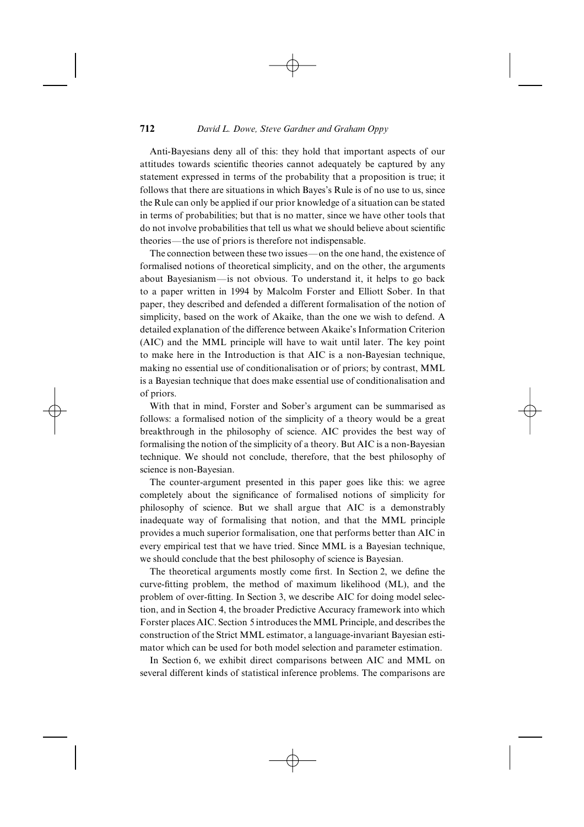Anti-Bayesians deny all of this: they hold that important aspects of our attitudes towards scientific theories cannot adequately be captured by any statement expressed in terms of the probability that a proposition is true; it follows that there are situations in which Bayes's Rule is of no use to us, since the Rule can only be applied if our prior knowledge of a situation can be stated in terms of probabilities; but that is no matter, since we have other tools that do not involve probabilities that tell us what we should believe about scientific theories—the use of priors is therefore not indispensable.

The connection between these two issues—on the one hand, the existence of formalised notions of theoretical simplicity, and on the other, the arguments about Bayesianism—is not obvious. To understand it, it helps to go back to a paper written in 1994 by Malcolm Forster and Elliott Sober. In that paper, they described and defended a different formalisation of the notion of simplicity, based on the work of Akaike, than the one we wish to defend. A detailed explanation of the difference between Akaike's Information Criterion (AIC) and the MML principle will have to wait until later. The key point to make here in the Introduction is that AIC is a non-Bayesian technique, making no essential use of conditionalisation or of priors; by contrast, MML is a Bayesian technique that does make essential use of conditionalisation and of priors.

With that in mind, Forster and Sober's argument can be summarised as follows: a formalised notion of the simplicity of a theory would be a great breakthrough in the philosophy of science. AIC provides the best way of formalising the notion of the simplicity of a theory. But AIC is a non-Bayesian technique. We should not conclude, therefore, that the best philosophy of science is non-Bayesian.

The counter-argument presented in this paper goes like this: we agree completely about the significance of formalised notions of simplicity for philosophy of science. But we shall argue that AIC is a demonstrably inadequate way of formalising that notion, and that the MML principle provides a much superior formalisation, one that performs better than AIC in every empirical test that we have tried. Since MML is a Bayesian technique, we should conclude that the best philosophy of science is Bayesian.

The theoretical arguments mostly come first. In Section 2, we define the curve-fitting problem, the method of maximum likelihood (ML), and the problem of over-fitting. In Section 3, we describe AIC for doing model selection, and in Section 4, the broader Predictive Accuracy framework into which Forster places AIC. Section 5 introduces the MML Principle, and describes the construction of the Strict MML estimator, a language-invariant Bayesian estimator which can be used for both model selection and parameter estimation.

In Section 6, we exhibit direct comparisons between AIC and MML on several different kinds of statistical inference problems. The comparisons are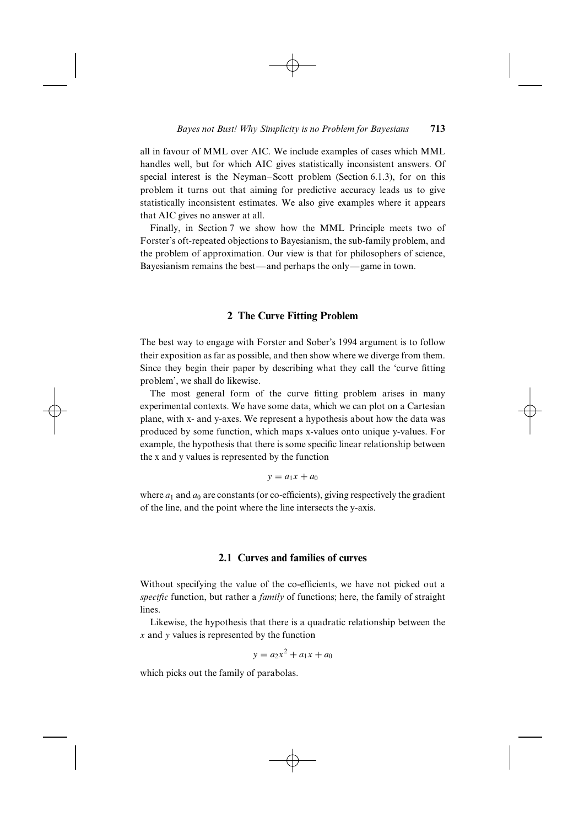all in favour of MML over AIC. We include examples of cases which MML handles well, but for which AIC gives statistically inconsistent answers. Of special interest is the Neyman–Scott problem (Section 6.1.3), for on this problem it turns out that aiming for predictive accuracy leads us to give statistically inconsistent estimates. We also give examples where it appears that AIC gives no answer at all.

Finally, in Section 7 we show how the MML Principle meets two of Forster's oft-repeated objections to Bayesianism, the sub-family problem, and the problem of approximation. Our view is that for philosophers of science, Bayesianism remains the best—and perhaps the only—game in town.

#### **2 The Curve Fitting Problem**

The best way to engage with Forster and Sober's 1994 argument is to follow their exposition as far as possible, and then show where we diverge from them. Since they begin their paper by describing what they call the 'curve fitting problem', we shall do likewise.

The most general form of the curve fitting problem arises in many experimental contexts. We have some data, which we can plot on a Cartesian plane, with x- and y-axes. We represent a hypothesis about how the data was produced by some function, which maps x-values onto unique y-values. For example, the hypothesis that there is some specific linear relationship between the x and y values is represented by the function

$$
y = a_1 x + a_0
$$

where  $a_1$  and  $a_0$  are constants (or co-efficients), giving respectively the gradient of the line, and the point where the line intersects the y-axis.

# **2.1 Curves and families of curves**

Without specifying the value of the co-efficients, we have not picked out a *specific* function, but rather a *family* of functions; here, the family of straight lines.

Likewise, the hypothesis that there is a quadratic relationship between the *x* and *y* values is represented by the function

$$
y = a_2 x^2 + a_1 x + a_0
$$

which picks out the family of parabolas.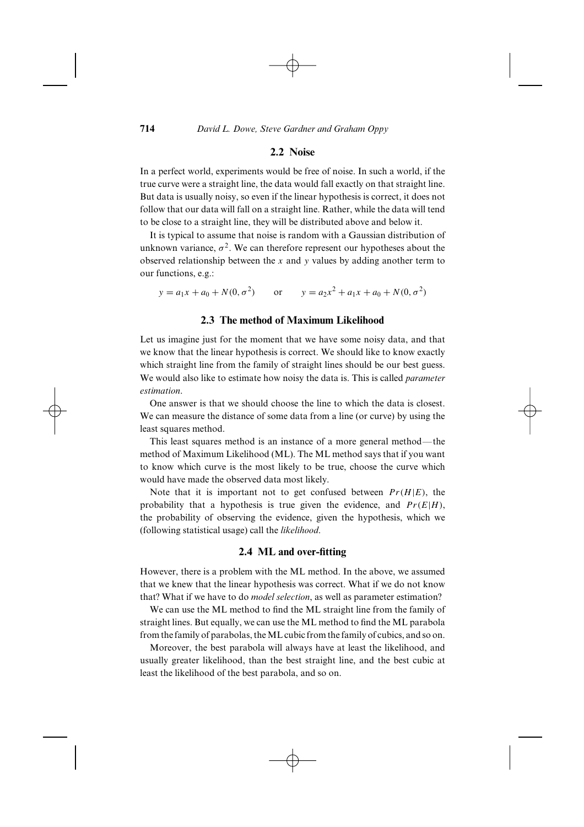# **2.2 Noise**

In a perfect world, experiments would be free of noise. In such a world, if the true curve were a straight line, the data would fall exactly on that straight line. But data is usually noisy, so even if the linear hypothesis is correct, it does not follow that our data will fall on a straight line. Rather, while the data will tend to be close to a straight line, they will be distributed above and below it.

It is typical to assume that noise is random with a Gaussian distribution of unknown variance,  $\sigma^2$ . We can therefore represent our hypotheses about the observed relationship between the *x* and *y* values by adding another term to our functions, e.g.:

$$
y = a_1x + a_0 + N(0, \sigma^2)
$$
 or  $y = a_2x^2 + a_1x + a_0 + N(0, \sigma^2)$ 

# **2.3 The method of Maximum Likelihood**

Let us imagine just for the moment that we have some noisy data, and that we know that the linear hypothesis is correct. We should like to know exactly which straight line from the family of straight lines should be our best guess. We would also like to estimate how noisy the data is. This is called *parameter estimation*.

One answer is that we should choose the line to which the data is closest. We can measure the distance of some data from a line (or curve) by using the least squares method.

This least squares method is an instance of a more general method—the method of Maximum Likelihood (ML). The ML method says that if you want to know which curve is the most likely to be true, choose the curve which would have made the observed data most likely.

Note that it is important not to get confused between  $Pr(H|E)$ , the probability that a hypothesis is true given the evidence, and  $Pr(E|H)$ , the probability of observing the evidence, given the hypothesis, which we (following statistical usage) call the *likelihood*.

#### **2.4 ML and over-fitting**

However, there is a problem with the ML method. In the above, we assumed that we knew that the linear hypothesis was correct. What if we do not know that? What if we have to do *model selection*, as well as parameter estimation?

We can use the ML method to find the ML straight line from the family of straight lines. But equally, we can use the ML method to find the ML parabola from the family of parabolas, the ML cubic from the family of cubics, and so on.

Moreover, the best parabola will always have at least the likelihood, and usually greater likelihood, than the best straight line, and the best cubic at least the likelihood of the best parabola, and so on.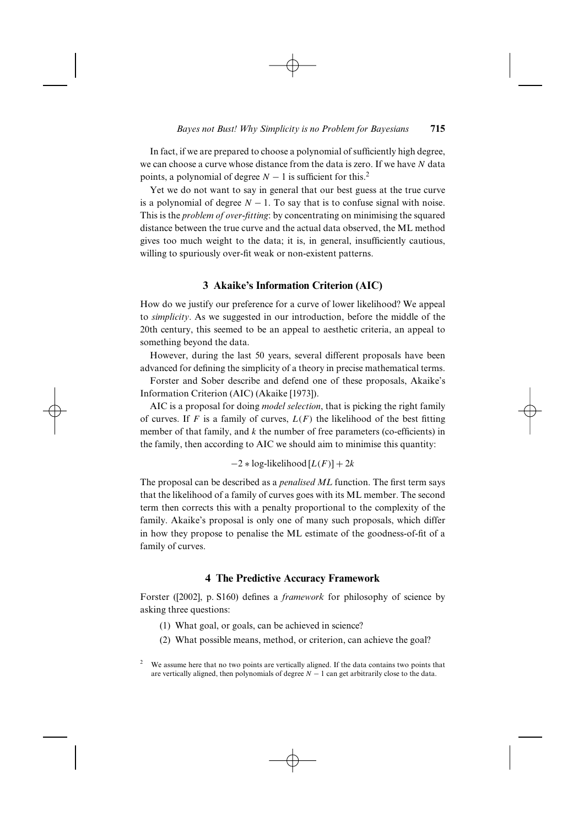In fact, if we are prepared to choose a polynomial of sufficiently high degree, we can choose a curve whose distance from the data is zero. If we have *N* data points, a polynomial of degree  $N - 1$  is sufficient for this.<sup>2</sup>

Yet we do not want to say in general that our best guess at the true curve is a polynomial of degree  $N - 1$ . To say that is to confuse signal with noise. This is the *problem of over-fitting*: by concentrating on minimising the squared distance between the true curve and the actual data observed, the ML method gives too much weight to the data; it is, in general, insufficiently cautious, willing to spuriously over-fit weak or non-existent patterns.

# **3 Akaike's Information Criterion (AIC)**

How do we justify our preference for a curve of lower likelihood? We appeal to *simplicity*. As we suggested in our introduction, before the middle of the 20th century, this seemed to be an appeal to aesthetic criteria, an appeal to something beyond the data.

However, during the last 50 years, several different proposals have been advanced for defining the simplicity of a theory in precise mathematical terms.

Forster and Sober describe and defend one of these proposals, Akaike's Information Criterion (AIC) (Akaike [1973]).

AIC is a proposal for doing *model selection*, that is picking the right family of curves. If  $F$  is a family of curves,  $L(F)$  the likelihood of the best fitting member of that family, and  $k$  the number of free parameters (co-efficients) in the family, then according to AIC we should aim to minimise this quantity:

 $-2 * log-likelihood [L(F)] + 2k$ 

The proposal can be described as a *penalised ML* function. The first term says that the likelihood of a family of curves goes with its ML member. The second term then corrects this with a penalty proportional to the complexity of the family. Akaike's proposal is only one of many such proposals, which differ in how they propose to penalise the ML estimate of the goodness-of-fit of a family of curves.

# **4 The Predictive Accuracy Framework**

Forster ([2002], p. S160) defines a *framework* for philosophy of science by asking three questions:

- (1) What goal, or goals, can be achieved in science?
- (2) What possible means, method, or criterion, can achieve the goal?

<sup>2</sup> We assume here that no two points are vertically aligned. If the data contains two points that are vertically aligned, then polynomials of degree  $N - 1$  can get arbitrarily close to the data.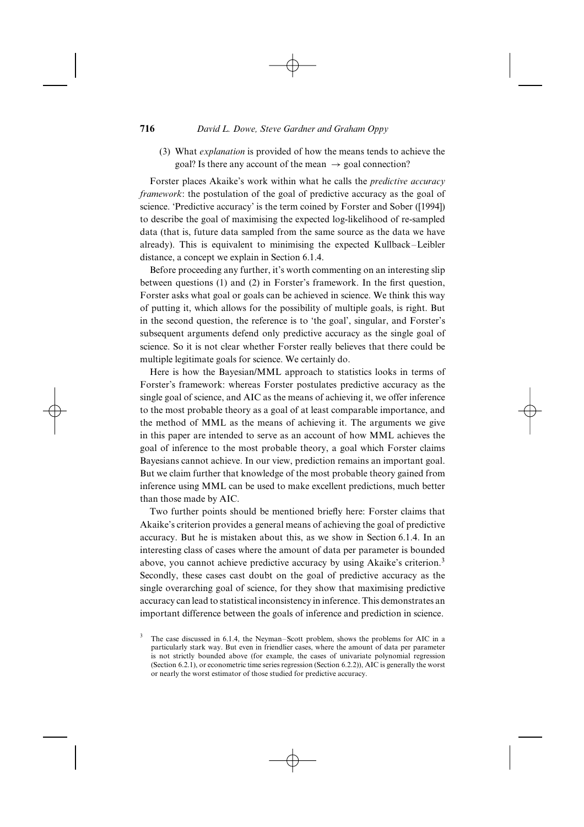(3) What *explanation* is provided of how the means tends to achieve the goal? Is there any account of the mean  $\rightarrow$  goal connection?

Forster places Akaike's work within what he calls the *predictive accuracy framework*: the postulation of the goal of predictive accuracy as the goal of science. 'Predictive accuracy' is the term coined by Forster and Sober ([1994]) to describe the goal of maximising the expected log-likelihood of re-sampled data (that is, future data sampled from the same source as the data we have already). This is equivalent to minimising the expected Kullback–Leibler distance, a concept we explain in Section 6.1.4.

Before proceeding any further, it's worth commenting on an interesting slip between questions (1) and (2) in Forster's framework. In the first question, Forster asks what goal or goals can be achieved in science. We think this way of putting it, which allows for the possibility of multiple goals, is right. But in the second question, the reference is to 'the goal', singular, and Forster's subsequent arguments defend only predictive accuracy as the single goal of science. So it is not clear whether Forster really believes that there could be multiple legitimate goals for science. We certainly do.

Here is how the Bayesian/MML approach to statistics looks in terms of Forster's framework: whereas Forster postulates predictive accuracy as the single goal of science, and AIC as the means of achieving it, we offer inference to the most probable theory as a goal of at least comparable importance, and the method of MML as the means of achieving it. The arguments we give in this paper are intended to serve as an account of how MML achieves the goal of inference to the most probable theory, a goal which Forster claims Bayesians cannot achieve. In our view, prediction remains an important goal. But we claim further that knowledge of the most probable theory gained from inference using MML can be used to make excellent predictions, much better than those made by AIC.

Two further points should be mentioned briefly here: Forster claims that Akaike's criterion provides a general means of achieving the goal of predictive accuracy. But he is mistaken about this, as we show in Section 6.1.4. In an interesting class of cases where the amount of data per parameter is bounded above, you cannot achieve predictive accuracy by using Akaike's criterion.<sup>3</sup> Secondly, these cases cast doubt on the goal of predictive accuracy as the single overarching goal of science, for they show that maximising predictive accuracy can lead to statistical inconsistency in inference. This demonstrates an important difference between the goals of inference and prediction in science.

<sup>3</sup> The case discussed in 6.1.4, the Neyman–Scott problem, shows the problems for AIC in a particularly stark way. But even in friendlier cases, where the amount of data per parameter is not strictly bounded above (for example, the cases of univariate polynomial regression (Section 6.2.1), or econometric time series regression (Section 6.2.2)), AIC is generally the worst or nearly the worst estimator of those studied for predictive accuracy.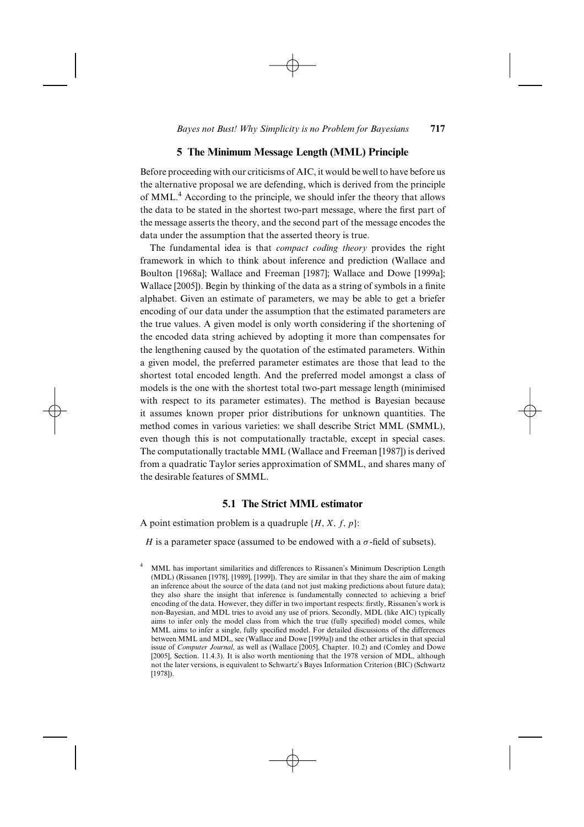# **5 The Minimum Message Length (MML) Principle**

Before proceeding with our criticisms of AIC, it would be well to have before us the alternative proposal we are defending, which is derived from the principle of MML.<sup>4</sup> According to the principle, we should infer the theory that allows the data to be stated in the shortest two-part message, where the first part of the message asserts the theory, and the second part of the message encodes the data under the assumption that the asserted theory is true.

The fundamental idea is that *compact coding theory* provides the right framework in which to think about inference and prediction (Wallace and Boulton [1968a]; Wallace and Freeman [1987]; Wallace and Dowe [1999a]; Wallace [2005]). Begin by thinking of the data as a string of symbols in a finite alphabet. Given an estimate of parameters, we may be able to get a briefer encoding of our data under the assumption that the estimated parameters are the true values. A given model is only worth considering if the shortening of the encoded data string achieved by adopting it more than compensates for the lengthening caused by the quotation of the estimated parameters. Within a given model, the preferred parameter estimates are those that lead to the shortest total encoded length. And the preferred model amongst a class of models is the one with the shortest total two-part message length (minimised with respect to its parameter estimates). The method is Bayesian because it assumes known proper prior distributions for unknown quantities. The method comes in various varieties: we shall describe Strict MML (SMML), even though this is not computationally tractable, except in special cases. The computationally tractable MML (Wallace and Freeman [1987]) is derived from a quadratic Taylor series approximation of SMML, and shares many of the desirable features of SMML.

## **5.1 The Strict MML estimator**

A point estimation problem is a quadruple {*H, X, f, p*}:

*H* is a parameter space (assumed to be endowed with a  $\sigma$ -field of subsets).

<sup>4</sup> MML has important similarities and differences to Rissanen's Minimum Description Length (MDL) (Rissanen [1978], [1989], [1999]). They are similar in that they share the aim of making an inference about the source of the data (and not just making predictions about future data); they also share the insight that inference is fundamentally connected to achieving a brief encoding of the data. However, they differ in two important respects: firstly, Rissanen's work is non-Bayesian, and MDL tries to avoid any use of priors. Secondly, MDL (like AIC) typically aims to infer only the model class from which the true (fully specified) model comes, while MML aims to infer a single, fully specified model. For detailed discussions of the differences between MML and MDL, see (Wallace and Dowe [1999a]) and the other articles in that special issue of *Computer Journal*, as well as (Wallace [2005], Chapter. 10.2) and (Comley and Dowe [2005], Section. 11.4.3). It is also worth mentioning that the 1978 version of MDL, although not the later versions, is equivalent to Schwartz's Bayes Information Criterion (BIC) (Schwartz [1978]).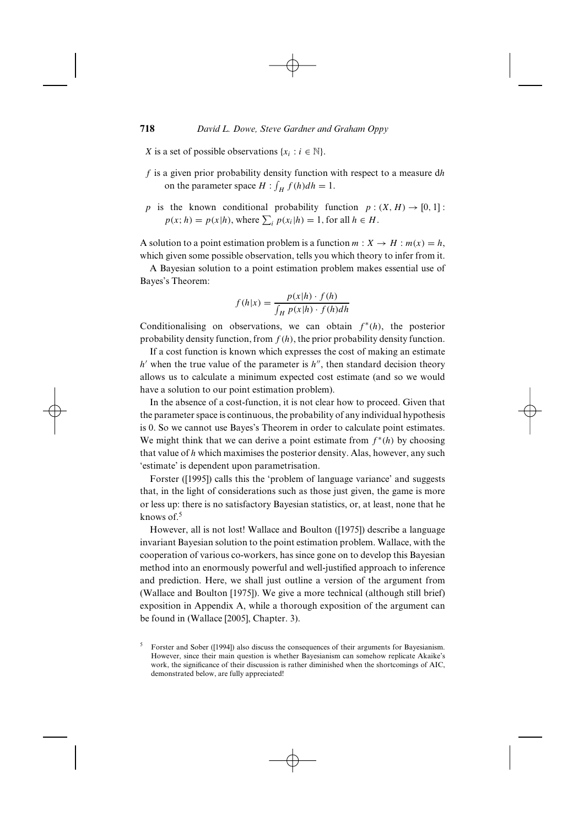*X* is a set of possible observations  $\{x_i : i \in \mathbb{N}\}\.$ 

- *f* is a given prior probability density function with respect to a measure d*h* on the parameter space  $H: \int_H f(h)dh = 1$ .
- *p* is the known conditional probability function  $p : (X, H) \rightarrow [0, 1]$ :  $p(x; h) = p(x|h)$ , where  $\sum_{i} p(x_i|h) = 1$ , for all  $h \in H$ .

A solution to a point estimation problem is a function  $m: X \to H : m(x) = h$ , which given some possible observation, tells you which theory to infer from it.

A Bayesian solution to a point estimation problem makes essential use of Bayes's Theorem:

$$
f(h|x) = \frac{p(x|h) \cdot f(h)}{\int_H p(x|h) \cdot f(h) dh}
$$

Conditionalising on observations, we can obtain  $f^*(h)$ , the posterior probability density function, from *f (h)*, the prior probability density function.

If a cost function is known which expresses the cost of making an estimate  $h'$  when the true value of the parameter is  $h''$ , then standard decision theory allows us to calculate a minimum expected cost estimate (and so we would have a solution to our point estimation problem).

In the absence of a cost-function, it is not clear how to proceed. Given that the parameter space is continuous, the probability of any individual hypothesis is 0. So we cannot use Bayes's Theorem in order to calculate point estimates. We might think that we can derive a point estimate from  $f^*(h)$  by choosing that value of *h* which maximises the posterior density. Alas, however, any such 'estimate' is dependent upon parametrisation.

Forster ([1995]) calls this the 'problem of language variance' and suggests that, in the light of considerations such as those just given, the game is more or less up: there is no satisfactory Bayesian statistics, or, at least, none that he knows of  $5$ 

However, all is not lost! Wallace and Boulton ([1975]) describe a language invariant Bayesian solution to the point estimation problem. Wallace, with the cooperation of various co-workers, has since gone on to develop this Bayesian method into an enormously powerful and well-justified approach to inference and prediction. Here, we shall just outline a version of the argument from (Wallace and Boulton [1975]). We give a more technical (although still brief) exposition in Appendix A, while a thorough exposition of the argument can be found in (Wallace [2005], Chapter. 3).

<sup>5</sup> Forster and Sober ([1994]) also discuss the consequences of their arguments for Bayesianism. However, since their main question is whether Bayesianism can somehow replicate Akaike's work, the significance of their discussion is rather diminished when the shortcomings of AIC, demonstrated below, are fully appreciated!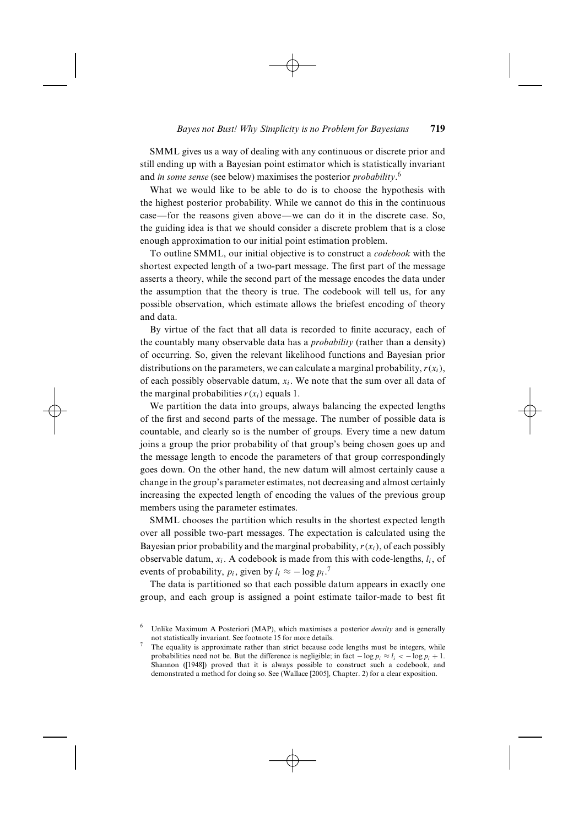SMML gives us a way of dealing with any continuous or discrete prior and still ending up with a Bayesian point estimator which is statistically invariant and *in some sense* (see below) maximises the posterior *probability*. 6

What we would like to be able to do is to choose the hypothesis with the highest posterior probability. While we cannot do this in the continuous case—for the reasons given above—we can do it in the discrete case. So, the guiding idea is that we should consider a discrete problem that is a close enough approximation to our initial point estimation problem.

To outline SMML, our initial objective is to construct a *codebook* with the shortest expected length of a two-part message. The first part of the message asserts a theory, while the second part of the message encodes the data under the assumption that the theory is true. The codebook will tell us, for any possible observation, which estimate allows the briefest encoding of theory and data.

By virtue of the fact that all data is recorded to finite accuracy, each of the countably many observable data has a *probability* (rather than a density) of occurring. So, given the relevant likelihood functions and Bayesian prior distributions on the parameters, we can calculate a marginal probability,  $r(x<sub>i</sub>)$ , of each possibly observable datum,  $x_i$ . We note that the sum over all data of the marginal probabilities  $r(x_i)$  equals 1.

We partition the data into groups, always balancing the expected lengths of the first and second parts of the message. The number of possible data is countable, and clearly so is the number of groups. Every time a new datum joins a group the prior probability of that group's being chosen goes up and the message length to encode the parameters of that group correspondingly goes down. On the other hand, the new datum will almost certainly cause a change in the group's parameter estimates, not decreasing and almost certainly increasing the expected length of encoding the values of the previous group members using the parameter estimates.

SMML chooses the partition which results in the shortest expected length over all possible two-part messages. The expectation is calculated using the Bayesian prior probability and the marginal probability,  $r(x_i)$ , of each possibly observable datum, *xi*. A codebook is made from this with code-lengths, *li*, of events of probability,  $p_i$ , given by  $l_i \approx -\log p_i$ .<sup>7</sup>

The data is partitioned so that each possible datum appears in exactly one group, and each group is assigned a point estimate tailor-made to best fit

<sup>6</sup> Unlike Maximum A Posteriori (MAP), which maximises a posterior *density* and is generally not statistically invariant. See footnote 15 for more details.

 $7$  The equality is approximate rather than strict because code lengths must be integers, while probabilities need not be. But the difference is negligible; in fact  $-\log p_i \approx l_i < -\log p_i + 1$ . Shannon ([1948]) proved that it is always possible to construct such a codebook, and demonstrated a method for doing so. See (Wallace [2005], Chapter. 2) for a clear exposition.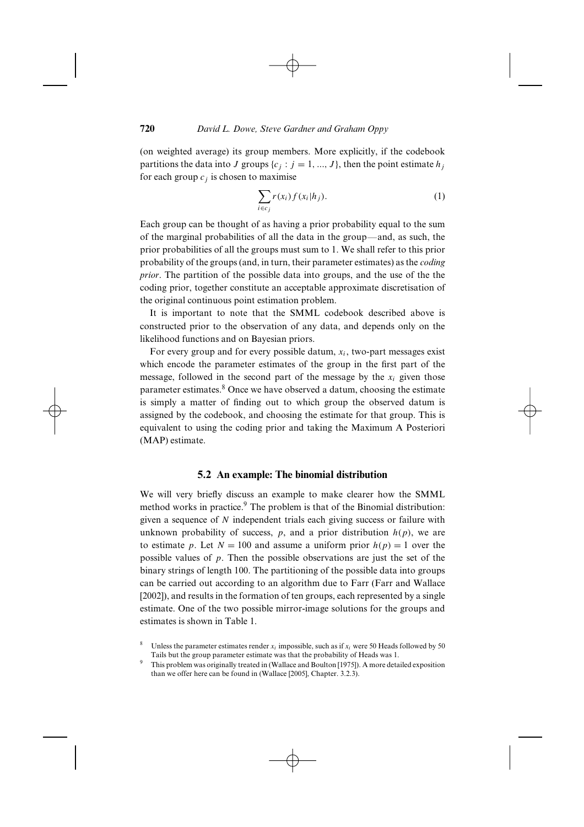(on weighted average) its group members. More explicitly, if the codebook partitions the data into *J* groups { $c_j$  :  $j = 1, ..., J$ }, then the point estimate  $h_j$ for each group  $c_j$  is chosen to maximise

$$
\sum_{i \in c_j} r(x_i) f(x_i | h_j). \tag{1}
$$

Each group can be thought of as having a prior probability equal to the sum of the marginal probabilities of all the data in the group—and, as such, the prior probabilities of all the groups must sum to 1. We shall refer to this prior probability of the groups (and, in turn, their parameter estimates) as the *coding prior*. The partition of the possible data into groups, and the use of the the coding prior, together constitute an acceptable approximate discretisation of the original continuous point estimation problem.

It is important to note that the SMML codebook described above is constructed prior to the observation of any data, and depends only on the likelihood functions and on Bayesian priors.

For every group and for every possible datum,  $x_i$ , two-part messages exist which encode the parameter estimates of the group in the first part of the message, followed in the second part of the message by the  $x_i$  given those parameter estimates.<sup>8</sup> Once we have observed a datum, choosing the estimate is simply a matter of finding out to which group the observed datum is assigned by the codebook, and choosing the estimate for that group. This is equivalent to using the coding prior and taking the Maximum A Posteriori (MAP) estimate.

# **5.2 An example: The binomial distribution**

We will very briefly discuss an example to make clearer how the SMML method works in practice.<sup>9</sup> The problem is that of the Binomial distribution: given a sequence of *N* independent trials each giving success or failure with unknown probability of success,  $p$ , and a prior distribution  $h(p)$ , we are to estimate *p*. Let  $N = 100$  and assume a uniform prior  $h(p) = 1$  over the possible values of *p*. Then the possible observations are just the set of the binary strings of length 100. The partitioning of the possible data into groups can be carried out according to an algorithm due to Farr (Farr and Wallace [2002]), and results in the formation of ten groups, each represented by a single estimate. One of the two possible mirror-image solutions for the groups and estimates is shown in Table 1.

Unless the parameter estimates render  $x_i$  impossible, such as if  $x_i$  were 50 Heads followed by 50 Tails but the group parameter estimate was that the probability of Heads was 1.

This problem was originally treated in (Wallace and Boulton [1975]). A more detailed exposition than we offer here can be found in (Wallace [2005], Chapter. 3.2.3).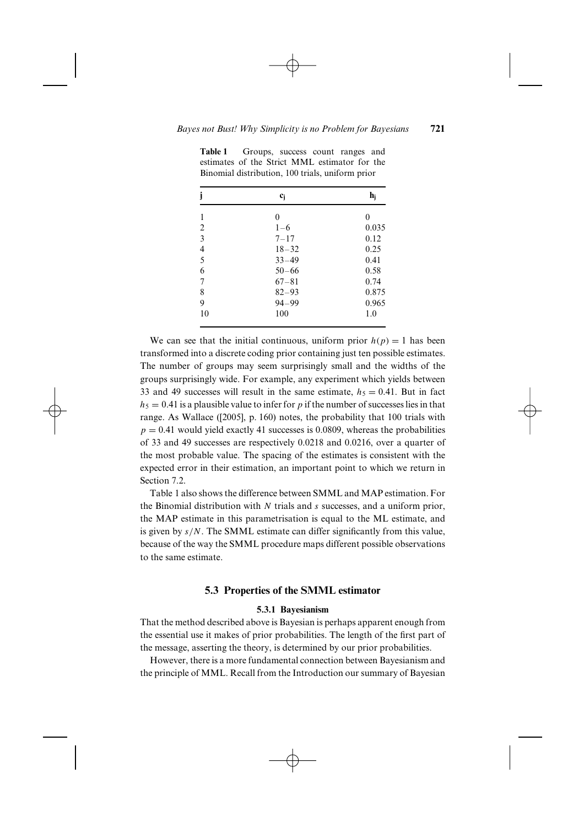| j              | $\mathbf{c}_\mathbf{i}$ | h <sub>i</sub> |
|----------------|-------------------------|----------------|
|                | 0                       | 0              |
| 2              | $1 - 6$                 | 0.035          |
| 3              | $7 - 17$                | 0.12           |
| 4              | $18 - 32$               | 0.25           |
| 5              | $33 - 49$               | 0.41           |
| 6              | $50 - 66$               | 0.58           |
| $\overline{7}$ | $67 - 81$               | 0.74           |
| 8              | $82 - 93$               | 0.875          |
| 9              | $94 - 99$               | 0.965          |
| 10             | 100                     | 1.0            |

**Table 1** Groups, success count ranges and estimates of the Strict MML estimator for the Binomial distribution, 100 trials, uniform prior

We can see that the initial continuous, uniform prior  $h(p) = 1$  has been transformed into a discrete coding prior containing just ten possible estimates. The number of groups may seem surprisingly small and the widths of the groups surprisingly wide. For example, any experiment which yields between 33 and 49 successes will result in the same estimate,  $h_5 = 0.41$ . But in fact  $h_5 = 0.41$  is a plausible value to infer for *p* if the number of successes lies in that range. As Wallace ([2005], p. 160) notes, the probability that 100 trials with  $p = 0.41$  would yield exactly 41 successes is 0.0809, whereas the probabilities of 33 and 49 successes are respectively 0.0218 and 0.0216, over a quarter of the most probable value. The spacing of the estimates is consistent with the expected error in their estimation, an important point to which we return in Section 7.2.

Table 1 also shows the difference between SMML and MAP estimation. For the Binomial distribution with *N* trials and *s* successes, and a uniform prior, the MAP estimate in this parametrisation is equal to the ML estimate, and is given by *s/N*. The SMML estimate can differ significantly from this value, because of the way the SMML procedure maps different possible observations to the same estimate.

#### **5.3 Properties of the SMML estimator**

#### **5.3.1 Bayesianism**

That the method described above is Bayesian is perhaps apparent enough from the essential use it makes of prior probabilities. The length of the first part of the message, asserting the theory, is determined by our prior probabilities.

However, there is a more fundamental connection between Bayesianism and the principle of MML. Recall from the Introduction our summary of Bayesian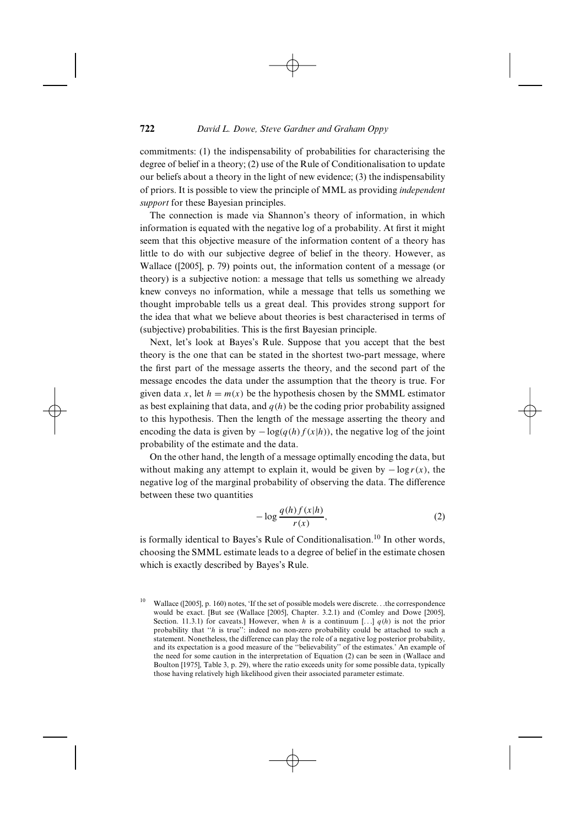commitments: (1) the indispensability of probabilities for characterising the degree of belief in a theory; (2) use of the Rule of Conditionalisation to update our beliefs about a theory in the light of new evidence; (3) the indispensability of priors. It is possible to view the principle of MML as providing *independent support* for these Bayesian principles.

The connection is made via Shannon's theory of information, in which information is equated with the negative log of a probability. At first it might seem that this objective measure of the information content of a theory has little to do with our subjective degree of belief in the theory. However, as Wallace ([2005], p. 79) points out, the information content of a message (or theory) is a subjective notion: a message that tells us something we already knew conveys no information, while a message that tells us something we thought improbable tells us a great deal. This provides strong support for the idea that what we believe about theories is best characterised in terms of (subjective) probabilities. This is the first Bayesian principle.

Next, let's look at Bayes's Rule. Suppose that you accept that the best theory is the one that can be stated in the shortest two-part message, where the first part of the message asserts the theory, and the second part of the message encodes the data under the assumption that the theory is true. For given data *x*, let  $h = m(x)$  be the hypothesis chosen by the SMML estimator as best explaining that data, and  $q(h)$  be the coding prior probability assigned to this hypothesis. Then the length of the message asserting the theory and encoding the data is given by  $-\log(q(h)f(x|h))$ , the negative log of the joint probability of the estimate and the data.

On the other hand, the length of a message optimally encoding the data, but without making any attempt to explain it, would be given by  $-\log r(x)$ , the negative log of the marginal probability of observing the data. The difference between these two quantities

$$
-\log \frac{q(h)f(x|h)}{r(x)},\tag{2}
$$

is formally identical to Bayes's Rule of Conditionalisation.<sup>10</sup> In other words, choosing the SMML estimate leads to a degree of belief in the estimate chosen which is exactly described by Bayes's Rule.

<sup>10</sup> Wallace ([2005], p. 160) notes, 'If the set of possible models were discrete*...*the correspondence would be exact. [But see (Wallace [2005], Chapter. 3.2.1) and (Comley and Dowe [2005], Section. 11.3.1) for caveats.] However, when *h* is a continuum [...]  $q(h)$  is not the prior probability that ''*h* is true'': indeed no non-zero probability could be attached to such a statement. Nonetheless, the difference can play the role of a negative log posterior probability, and its expectation is a good measure of the ''believability'' of the estimates.' An example of the need for some caution in the interpretation of Equation (2) can be seen in (Wallace and Boulton [1975], Table 3, p. 29), where the ratio exceeds unity for some possible data, typically those having relatively high likelihood given their associated parameter estimate.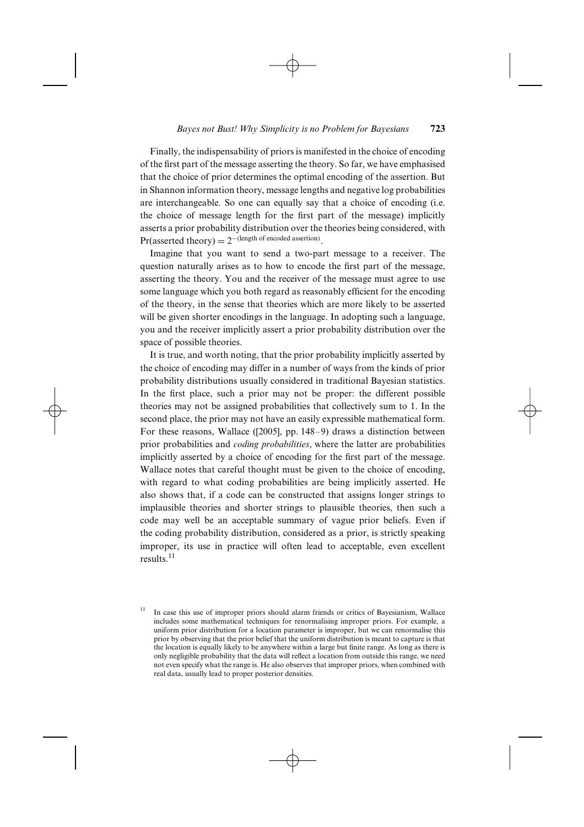Finally, the indispensability of priors is manifested in the choice of encoding of the first part of the message asserting the theory. So far, we have emphasised that the choice of prior determines the optimal encoding of the assertion. But in Shannon information theory, message lengths and negative log probabilities are interchangeable. So one can equally say that a choice of encoding (i.e. the choice of message length for the first part of the message) implicitly asserts a prior probability distribution over the theories being considered, with Pr(asserted theory) = 2−*(*length of encoded assertion*)* .

Imagine that you want to send a two-part message to a receiver. The question naturally arises as to how to encode the first part of the message, asserting the theory. You and the receiver of the message must agree to use some language which you both regard as reasonably efficient for the encoding of the theory, in the sense that theories which are more likely to be asserted will be given shorter encodings in the language. In adopting such a language, you and the receiver implicitly assert a prior probability distribution over the space of possible theories.

It is true, and worth noting, that the prior probability implicitly asserted by the choice of encoding may differ in a number of ways from the kinds of prior probability distributions usually considered in traditional Bayesian statistics. In the first place, such a prior may not be proper: the different possible theories may not be assigned probabilities that collectively sum to 1. In the second place, the prior may not have an easily expressible mathematical form. For these reasons, Wallace ([2005], pp. 148–9) draws a distinction between prior probabilities and *coding probabilities*, where the latter are probabilities implicitly asserted by a choice of encoding for the first part of the message. Wallace notes that careful thought must be given to the choice of encoding, with regard to what coding probabilities are being implicitly asserted. He also shows that, if a code can be constructed that assigns longer strings to implausible theories and shorter strings to plausible theories, then such a code may well be an acceptable summary of vague prior beliefs. Even if the coding probability distribution, considered as a prior, is strictly speaking improper, its use in practice will often lead to acceptable, even excellent results.<sup>11</sup>

 $11$  In case this use of improper priors should alarm friends or critics of Bayesianism, Wallace includes some mathematical techniques for renormalising improper priors. For example, a uniform prior distribution for a location parameter is improper, but we can renormalise this prior by observing that the prior belief that the uniform distribution is meant to capture is that the location is equally likely to be anywhere within a large but finite range. As long as there is only negligible probability that the data will reflect a location from outside this range, we need not even specify what the range is. He also observes that improper priors, when combined with real data, usually lead to proper posterior densities.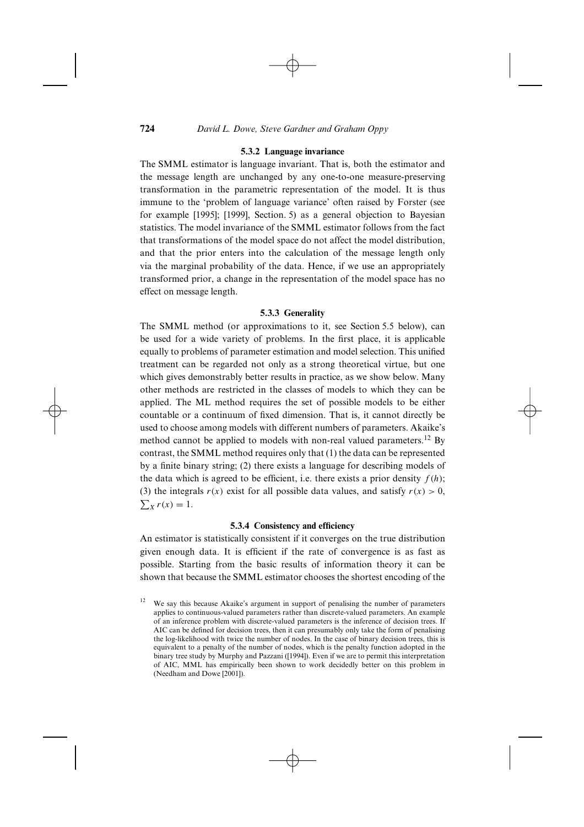#### **5.3.2 Language invariance**

The SMML estimator is language invariant. That is, both the estimator and the message length are unchanged by any one-to-one measure-preserving transformation in the parametric representation of the model. It is thus immune to the 'problem of language variance' often raised by Forster (see for example [1995]; [1999], Section. 5) as a general objection to Bayesian statistics. The model invariance of the SMML estimator follows from the fact that transformations of the model space do not affect the model distribution, and that the prior enters into the calculation of the message length only via the marginal probability of the data. Hence, if we use an appropriately transformed prior, a change in the representation of the model space has no effect on message length.

#### **5.3.3 Generality**

The SMML method (or approximations to it, see Section 5.5 below), can be used for a wide variety of problems. In the first place, it is applicable equally to problems of parameter estimation and model selection. This unified treatment can be regarded not only as a strong theoretical virtue, but one which gives demonstrably better results in practice, as we show below. Many other methods are restricted in the classes of models to which they can be applied. The ML method requires the set of possible models to be either countable or a continuum of fixed dimension. That is, it cannot directly be used to choose among models with different numbers of parameters. Akaike's method cannot be applied to models with non-real valued parameters.<sup>12</sup> By contrast, the SMML method requires only that (1) the data can be represented by a finite binary string; (2) there exists a language for describing models of the data which is agreed to be efficient, i.e. there exists a prior density  $f(h)$ ; (3) the integrals  $r(x)$  exist for all possible data values, and satisfy  $r(x) > 0$ ,  $\sum_{X} r(x) = 1.$ 

# **5.3.4 Consistency and efficiency**

An estimator is statistically consistent if it converges on the true distribution given enough data. It is efficient if the rate of convergence is as fast as possible. Starting from the basic results of information theory it can be shown that because the SMML estimator chooses the shortest encoding of the

<sup>&</sup>lt;sup>12</sup> We say this because Akaike's argument in support of penalising the number of parameters applies to continuous-valued parameters rather than discrete-valued parameters. An example of an inference problem with discrete-valued parameters is the inference of decision trees. If AIC can be defined for decision trees, then it can presumably only take the form of penalising the log-likelihood with twice the number of nodes. In the case of binary decision trees, this is equivalent to a penalty of the number of nodes, which is the penalty function adopted in the binary tree study by Murphy and Pazzani ([1994]). Even if we are to permit this interpretation of AIC, MML has empirically been shown to work decidedly better on this problem in (Needham and Dowe [2001]).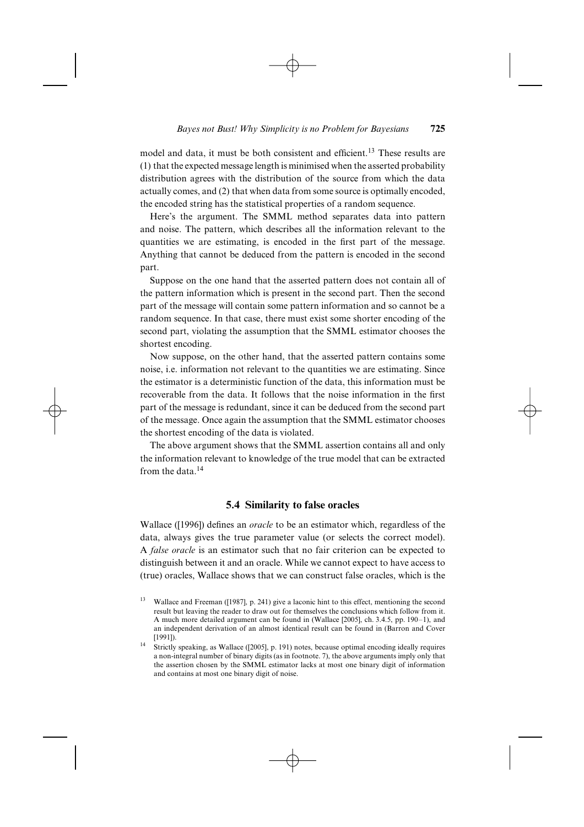model and data, it must be both consistent and efficient.<sup>13</sup> These results are (1) that the expected message length is minimised when the asserted probability distribution agrees with the distribution of the source from which the data actually comes, and (2) that when data from some source is optimally encoded, the encoded string has the statistical properties of a random sequence.

Here's the argument. The SMML method separates data into pattern and noise. The pattern, which describes all the information relevant to the quantities we are estimating, is encoded in the first part of the message. Anything that cannot be deduced from the pattern is encoded in the second part.

Suppose on the one hand that the asserted pattern does not contain all of the pattern information which is present in the second part. Then the second part of the message will contain some pattern information and so cannot be a random sequence. In that case, there must exist some shorter encoding of the second part, violating the assumption that the SMML estimator chooses the shortest encoding.

Now suppose, on the other hand, that the asserted pattern contains some noise, i.e. information not relevant to the quantities we are estimating. Since the estimator is a deterministic function of the data, this information must be recoverable from the data. It follows that the noise information in the first part of the message is redundant, since it can be deduced from the second part of the message. Once again the assumption that the SMML estimator chooses the shortest encoding of the data is violated.

The above argument shows that the SMML assertion contains all and only the information relevant to knowledge of the true model that can be extracted from the data.<sup>14</sup>

# **5.4 Similarity to false oracles**

Wallace ([1996]) defines an *oracle* to be an estimator which, regardless of the data, always gives the true parameter value (or selects the correct model). A *false oracle* is an estimator such that no fair criterion can be expected to distinguish between it and an oracle. While we cannot expect to have access to (true) oracles, Wallace shows that we can construct false oracles, which is the

<sup>&</sup>lt;sup>13</sup> Wallace and Freeman ([1987], p. 241) give a laconic hint to this effect, mentioning the second result but leaving the reader to draw out for themselves the conclusions which follow from it. A much more detailed argument can be found in (Wallace [2005], ch. 3.4.5, pp. 190–1), and an independent derivation of an almost identical result can be found in (Barron and Cover [1991]).

<sup>&</sup>lt;sup>14</sup> Strictly speaking, as Wallace ([2005], p. 191) notes, because optimal encoding ideally requires a non-integral number of binary digits (as in footnote. 7), the above arguments imply only that the assertion chosen by the SMML estimator lacks at most one binary digit of information and contains at most one binary digit of noise.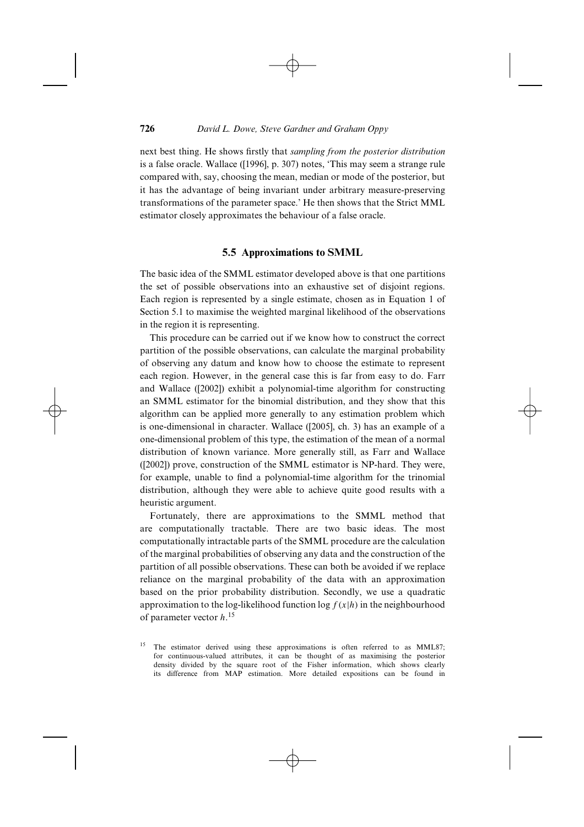next best thing. He shows firstly that *sampling from the posterior distribution* is a false oracle. Wallace ([1996], p. 307) notes, 'This may seem a strange rule compared with, say, choosing the mean, median or mode of the posterior, but it has the advantage of being invariant under arbitrary measure-preserving transformations of the parameter space.' He then shows that the Strict MML estimator closely approximates the behaviour of a false oracle.

# **5.5 Approximations to SMML**

The basic idea of the SMML estimator developed above is that one partitions the set of possible observations into an exhaustive set of disjoint regions. Each region is represented by a single estimate, chosen as in Equation 1 of Section 5.1 to maximise the weighted marginal likelihood of the observations in the region it is representing.

This procedure can be carried out if we know how to construct the correct partition of the possible observations, can calculate the marginal probability of observing any datum and know how to choose the estimate to represent each region. However, in the general case this is far from easy to do. Farr and Wallace ([2002]) exhibit a polynomial-time algorithm for constructing an SMML estimator for the binomial distribution, and they show that this algorithm can be applied more generally to any estimation problem which is one-dimensional in character. Wallace ([2005], ch. 3) has an example of a one-dimensional problem of this type, the estimation of the mean of a normal distribution of known variance. More generally still, as Farr and Wallace ([2002]) prove, construction of the SMML estimator is NP-hard. They were, for example, unable to find a polynomial-time algorithm for the trinomial distribution, although they were able to achieve quite good results with a heuristic argument.

Fortunately, there are approximations to the SMML method that are computationally tractable. There are two basic ideas. The most computationally intractable parts of the SMML procedure are the calculation of the marginal probabilities of observing any data and the construction of the partition of all possible observations. These can both be avoided if we replace reliance on the marginal probability of the data with an approximation based on the prior probability distribution. Secondly, we use a quadratic approximation to the log-likelihood function  $\log f(x|h)$  in the neighbourhood of parameter vector *h*. 15

<sup>&</sup>lt;sup>15</sup> The estimator derived using these approximations is often referred to as MML87; for continuous-valued attributes, it can be thought of as maximising the posterior density divided by the square root of the Fisher information, which shows clearly its difference from MAP estimation. More detailed expositions can be found in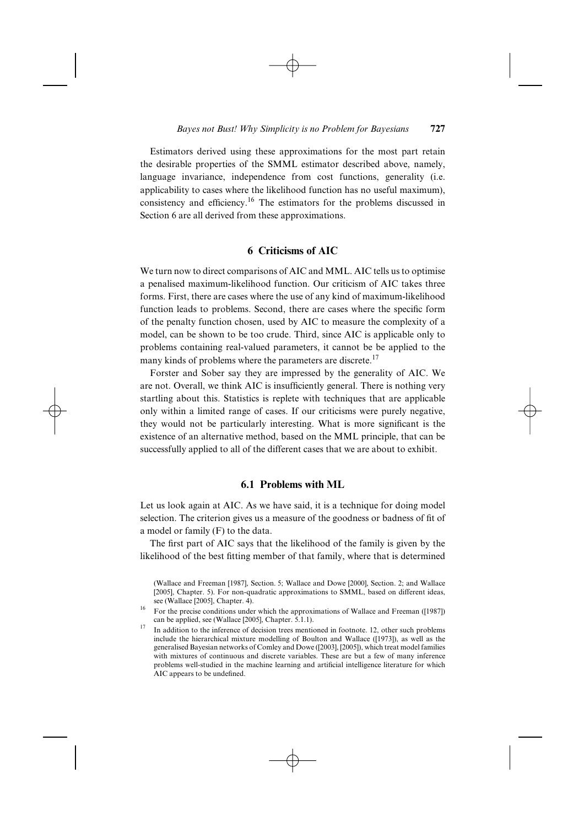Estimators derived using these approximations for the most part retain the desirable properties of the SMML estimator described above, namely, language invariance, independence from cost functions, generality (i.e. applicability to cases where the likelihood function has no useful maximum), consistency and efficiency.<sup>16</sup> The estimators for the problems discussed in Section 6 are all derived from these approximations.

# **6 Criticisms of AIC**

We turn now to direct comparisons of AIC and MML. AIC tells us to optimise a penalised maximum-likelihood function. Our criticism of AIC takes three forms. First, there are cases where the use of any kind of maximum-likelihood function leads to problems. Second, there are cases where the specific form of the penalty function chosen, used by AIC to measure the complexity of a model, can be shown to be too crude. Third, since AIC is applicable only to problems containing real-valued parameters, it cannot be be applied to the many kinds of problems where the parameters are discrete.<sup>17</sup>

Forster and Sober say they are impressed by the generality of AIC. We are not. Overall, we think AIC is insufficiently general. There is nothing very startling about this. Statistics is replete with techniques that are applicable only within a limited range of cases. If our criticisms were purely negative, they would not be particularly interesting. What is more significant is the existence of an alternative method, based on the MML principle, that can be successfully applied to all of the different cases that we are about to exhibit.

# **6.1 Problems with ML**

Let us look again at AIC. As we have said, it is a technique for doing model selection. The criterion gives us a measure of the goodness or badness of fit of a model or family (F) to the data.

The first part of AIC says that the likelihood of the family is given by the likelihood of the best fitting member of that family, where that is determined

<sup>(</sup>Wallace and Freeman [1987], Section. 5; Wallace and Dowe [2000], Section. 2; and Wallace [2005], Chapter. 5). For non-quadratic approximations to SMML, based on different ideas, see (Wallace [2005], Chapter. 4).

<sup>&</sup>lt;sup>16</sup> For the precise conditions under which the approximations of Wallace and Freeman ([1987]) can be applied, see (Wallace [2005], Chapter. 5.1.1).

<sup>&</sup>lt;sup>17</sup> In addition to the inference of decision trees mentioned in footnote. 12, other such problems include the hierarchical mixture modelling of Boulton and Wallace ([1973]), as well as the generalised Bayesian networks of Comley and Dowe ([2003], [2005]), which treat model families with mixtures of continuous and discrete variables. These are but a few of many inference problems well-studied in the machine learning and artificial intelligence literature for which AIC appears to be undefined.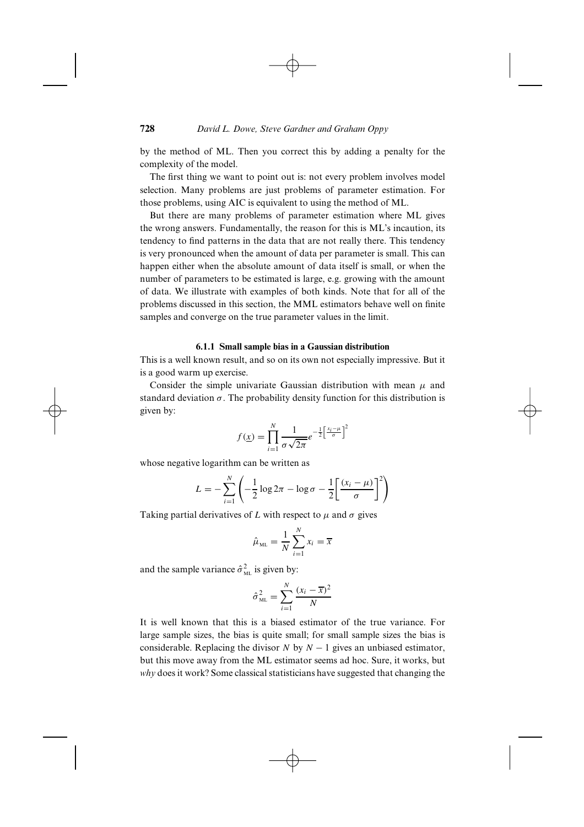by the method of ML. Then you correct this by adding a penalty for the complexity of the model.

The first thing we want to point out is: not every problem involves model selection. Many problems are just problems of parameter estimation. For those problems, using AIC is equivalent to using the method of ML.

But there are many problems of parameter estimation where ML gives the wrong answers. Fundamentally, the reason for this is ML's incaution, its tendency to find patterns in the data that are not really there. This tendency is very pronounced when the amount of data per parameter is small. This can happen either when the absolute amount of data itself is small, or when the number of parameters to be estimated is large, e.g. growing with the amount of data. We illustrate with examples of both kinds. Note that for all of the problems discussed in this section, the MML estimators behave well on finite samples and converge on the true parameter values in the limit.

#### **6.1.1 Small sample bias in a Gaussian distribution**

This is a well known result, and so on its own not especially impressive. But it is a good warm up exercise.

Consider the simple univariate Gaussian distribution with mean  $\mu$  and standard deviation  $\sigma$ . The probability density function for this distribution is given by:

$$
f(\underline{x}) = \prod_{i=1}^{N} \frac{1}{\sigma \sqrt{2\pi}} e^{-\frac{1}{2} \left[ \frac{x_i - \mu}{\sigma} \right]^2}
$$

whose negative logarithm can be written as

$$
L = -\sum_{i=1}^{N} \left( -\frac{1}{2} \log 2\pi - \log \sigma - \frac{1}{2} \left[ \frac{(x_i - \mu)}{\sigma} \right]^2 \right)
$$

Taking partial derivatives of *L* with respect to  $\mu$  and  $\sigma$  gives

$$
\hat{\mu}_{ML} = \frac{1}{N} \sum_{i=1}^{N} x_i = \overline{x}
$$

and the sample variance  $\hat{\sigma}_{ML}^2$  is given by:

$$
\hat{\sigma}_{\text{ML}}^2 = \sum_{i=1}^N \frac{(x_i - \overline{x})^2}{N}
$$

It is well known that this is a biased estimator of the true variance. For large sample sizes, the bias is quite small; for small sample sizes the bias is considerable. Replacing the divisor *N* by  $N - 1$  gives an unbiased estimator, but this move away from the ML estimator seems ad hoc. Sure, it works, but *why* does it work? Some classical statisticians have suggested that changing the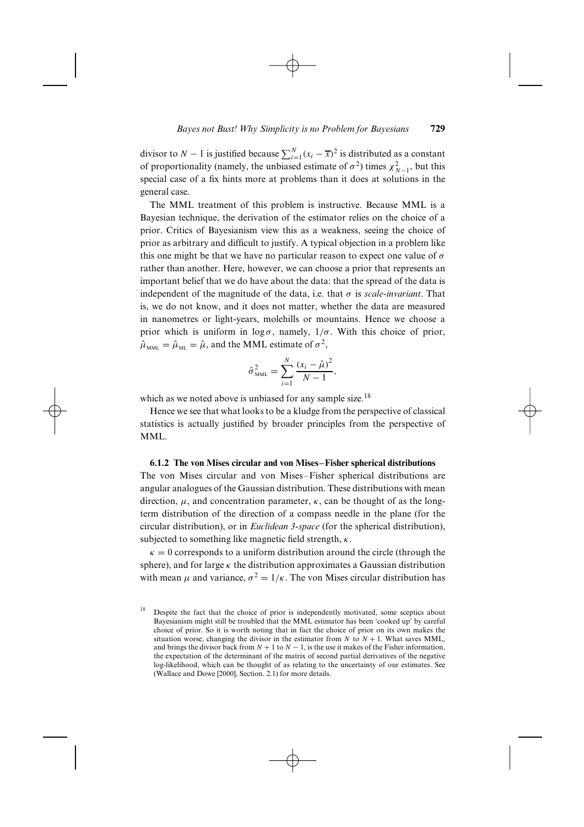divisor to *N* − 1 is justified because  $\sum_{i=1}^{N} (x_i - \overline{x})^2$  is distributed as a constant of proportionality (namely, the unbiased estimate of  $\sigma^2$ ) times  $\chi^2_{N-1}$ , but this special case of a fix hints more at problems than it does at solutions in the general case.

The MML treatment of this problem is instructive. Because MML is a Bayesian technique, the derivation of the estimator relies on the choice of a prior. Critics of Bayesianism view this as a weakness, seeing the choice of prior as arbitrary and difficult to justify. A typical objection in a problem like this one might be that we have no particular reason to expect one value of *σ* rather than another. Here, however, we can choose a prior that represents an important belief that we do have about the data: that the spread of the data is independent of the magnitude of the data, i.e. that  $\sigma$  is *scale-invariant*. That is, we do not know, and it does not matter, whether the data are measured in nanometres or light-years, molehills or mountains. Hence we choose a prior which is uniform in  $\log \sigma$ , namely,  $1/\sigma$ . With this choice of prior,  $\hat{\mu}_{\text{MML}} = \hat{\mu}_{\text{ML}} = \hat{\mu}$ , and the MML estimate of  $\sigma^2$ ,

$$
\hat{\sigma}_{\text{mML}}^2 = \sum_{i=1}^N \frac{(x_i - \hat{\mu})^2}{N - 1},
$$

which as we noted above is unbiased for any sample size.<sup>18</sup>

Hence we see that what looks to be a kludge from the perspective of classical statistics is actually justified by broader principles from the perspective of MML.

#### **6.1.2 The von Mises circular and von Mises–Fisher spherical distributions**

The von Mises circular and von Mises–Fisher spherical distributions are angular analogues of the Gaussian distribution. These distributions with mean direction,  $\mu$ , and concentration parameter,  $\kappa$ , can be thought of as the longterm distribution of the direction of a compass needle in the plane (for the circular distribution), or in *Euclidean 3-space* (for the spherical distribution), subjected to something like magnetic field strength, *κ*.

 $\kappa = 0$  corresponds to a uniform distribution around the circle (through the sphere), and for large  $\kappa$  the distribution approximates a Gaussian distribution with mean  $\mu$  and variance,  $\sigma^2 = 1/\kappa$ . The von Mises circular distribution has

<sup>&</sup>lt;sup>18</sup> Despite the fact that the choice of prior is independently motivated, some sceptics about Bayesianism might still be troubled that the MML estimator has been 'cooked up' by careful choice of prior. So it is worth noting that in fact the choice of prior on its own makes the situation worse, changing the divisor in the estimator from *N* to  $N + 1$ . What saves MML, and brings the divisor back from  $N + 1$  to  $N - 1$ , is the use it makes of the Fisher information, the expectation of the determinant of the matrix of second partial derivatives of the negative log-likelihood, which can be thought of as relating to the uncertainty of our estimates. See (Wallace and Dowe [2000], Section. 2.1) for more details.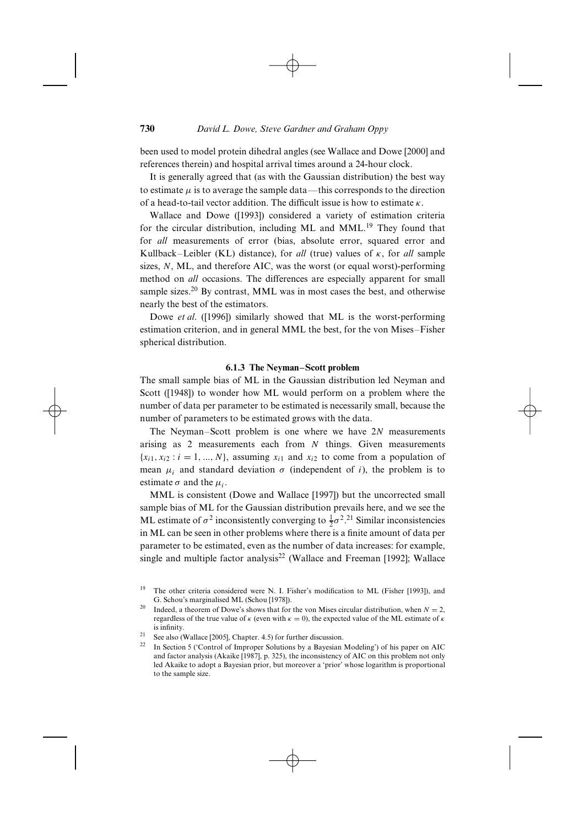been used to model protein dihedral angles (see Wallace and Dowe [2000] and references therein) and hospital arrival times around a 24-hour clock.

It is generally agreed that (as with the Gaussian distribution) the best way to estimate  $\mu$  is to average the sample data—this corresponds to the direction of a head-to-tail vector addition. The difficult issue is how to estimate *κ*.

Wallace and Dowe ([1993]) considered a variety of estimation criteria for the circular distribution, including ML and MML.<sup>19</sup> They found that for *all* measurements of error (bias, absolute error, squared error and Kullback–Leibler (KL) distance), for *all* (true) values of *κ*, for *all* sample sizes, *N*, ML, and therefore AIC, was the worst (or equal worst)-performing method on *all* occasions. The differences are especially apparent for small sample sizes.<sup>20</sup> By contrast, MML was in most cases the best, and otherwise nearly the best of the estimators.

Dowe *et al*. ([1996]) similarly showed that ML is the worst-performing estimation criterion, and in general MML the best, for the von Mises–Fisher spherical distribution.

#### **6.1.3 The Neyman–Scott problem**

The small sample bias of ML in the Gaussian distribution led Neyman and Scott ([1948]) to wonder how ML would perform on a problem where the number of data per parameter to be estimated is necessarily small, because the number of parameters to be estimated grows with the data.

The Neyman–Scott problem is one where we have 2*N* measurements arising as 2 measurements each from *N* things. Given measurements  ${x_{i1}, x_{i2} : i = 1, ..., N}$ , assuming  $x_{i1}$  and  $x_{i2}$  to come from a population of mean  $\mu_i$  and standard deviation  $\sigma$  (independent of *i*), the problem is to estimate  $\sigma$  and the  $\mu_i$ .

MML is consistent (Dowe and Wallace [1997]) but the uncorrected small sample bias of ML for the Gaussian distribution prevails here, and we see the ML estimate of  $\sigma^2$  inconsistently converging to  $\frac{1}{2}\sigma^2$ .<sup>21</sup> Similar inconsistencies in ML can be seen in other problems where there is a finite amount of data per parameter to be estimated, even as the number of data increases: for example, single and multiple factor analysis $22$  (Wallace and Freeman [1992]; Wallace

<sup>&</sup>lt;sup>19</sup> The other criteria considered were N. I. Fisher's modification to ML (Fisher [1993]), and G. Schou's marginalised ML (Schou [1978]).

<sup>&</sup>lt;sup>20</sup> Indeed, a theorem of Dowe's shows that for the von Mises circular distribution, when  $N = 2$ , regardless of the true value of *κ* (even with *κ* = 0), the expected value of the ML estimate of *κ* is infinity.

<sup>&</sup>lt;sup>21</sup> See also (Wallace [2005], Chapter. 4.5) for further discussion.

In Section 5 ('Control of Improper Solutions by a Bayesian Modeling') of his paper on AIC and factor analysis (Akaike [1987], p. 325), the inconsistency of AIC on this problem not only led Akaike to adopt a Bayesian prior, but moreover a 'prior' whose logarithm is proportional to the sample size.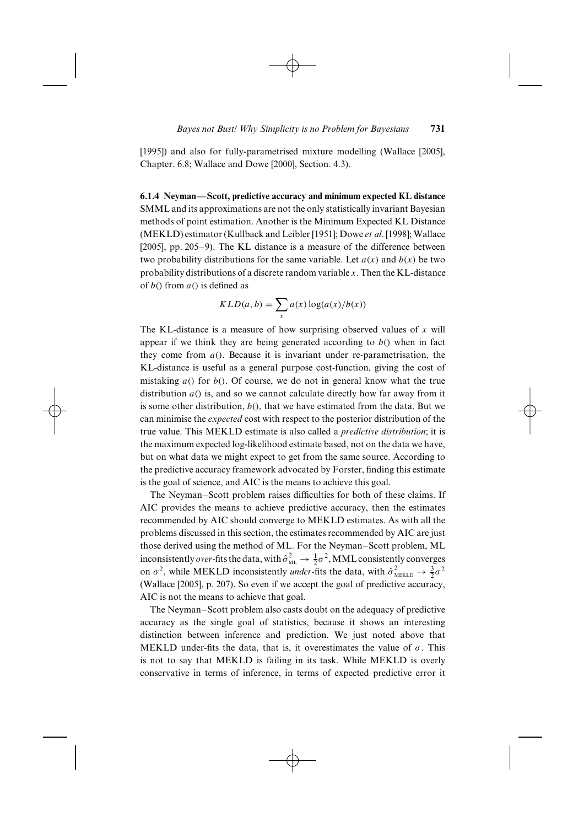[1995]) and also for fully-parametrised mixture modelling (Wallace [2005], Chapter. 6.8; Wallace and Dowe [2000], Section. 4.3).

**6.1.4 Neyman—Scott, predictive accuracy and minimum expected KL distance** SMML and its approximations are not the only statistically invariant Bayesian methods of point estimation. Another is the Minimum Expected KL Distance (MEKLD) estimator (Kullback and Leibler [1951]; Dowe *et al*. [1998]; Wallace [2005], pp. 205–9). The KL distance is a measure of the difference between two probability distributions for the same variable. Let  $a(x)$  and  $b(x)$  be two probability distributions of a discrete random variable *x*. Then the KL-distance of *b()* from *a()* is defined as

$$
KLD(a, b) = \sum_{x} a(x) \log(a(x)/b(x))
$$

The KL-distance is a measure of how surprising observed values of *x* will appear if we think they are being generated according to  $b()$  when in fact they come from *a()*. Because it is invariant under re-parametrisation, the KL-distance is useful as a general purpose cost-function, giving the cost of mistaking *a()* for *b()*. Of course, we do not in general know what the true distribution *a()* is, and so we cannot calculate directly how far away from it is some other distribution,  $b()$ , that we have estimated from the data. But we can minimise the *expected* cost with respect to the posterior distribution of the true value. This MEKLD estimate is also called a *predictive distribution*; it is the maximum expected log-likelihood estimate based, not on the data we have, but on what data we might expect to get from the same source. According to the predictive accuracy framework advocated by Forster, finding this estimate is the goal of science, and AIC is the means to achieve this goal.

The Neyman–Scott problem raises difficulties for both of these claims. If AIC provides the means to achieve predictive accuracy, then the estimates recommended by AIC should converge to MEKLD estimates. As with all the problems discussed in this section, the estimates recommended by AIC are just those derived using the method of ML. For the Neyman–Scott problem, ML inconsistently *over*-fits the data, with  $\hat{\sigma}_{ML}^2 \rightarrow \frac{1}{2}\sigma^2$ , MML consistently converges on  $\sigma^2$ , while MEKLD inconsistently *under*-fits the data, with  $\hat{\sigma}_{M\text{EKLD}}^2 \to \frac{3}{2}\sigma^2$ (Wallace [2005], p. 207). So even if we accept the goal of predictive accuracy, AIC is not the means to achieve that goal.

The Neyman–Scott problem also casts doubt on the adequacy of predictive accuracy as the single goal of statistics, because it shows an interesting distinction between inference and prediction. We just noted above that MEKLD under-fits the data, that is, it overestimates the value of  $\sigma$ . This is not to say that MEKLD is failing in its task. While MEKLD is overly conservative in terms of inference, in terms of expected predictive error it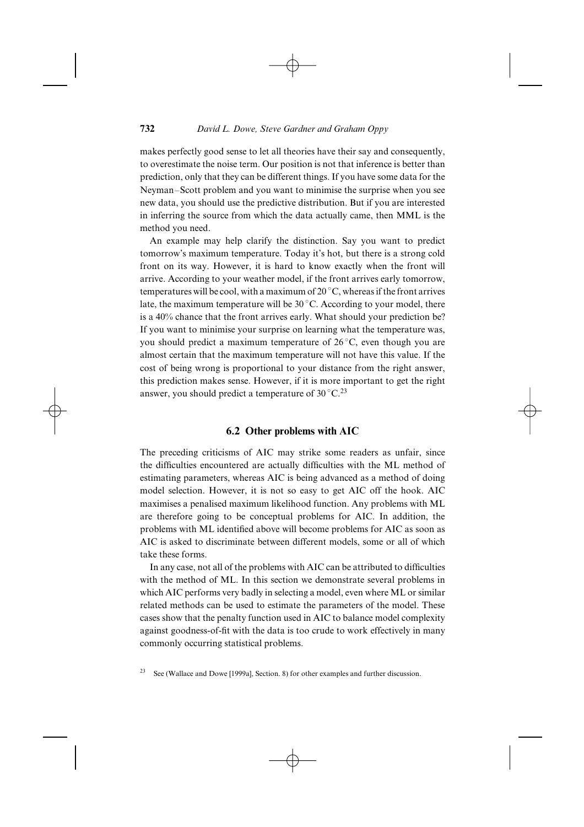makes perfectly good sense to let all theories have their say and consequently, to overestimate the noise term. Our position is not that inference is better than prediction, only that they can be different things. If you have some data for the Neyman–Scott problem and you want to minimise the surprise when you see new data, you should use the predictive distribution. But if you are interested in inferring the source from which the data actually came, then MML is the method you need.

An example may help clarify the distinction. Say you want to predict tomorrow's maximum temperature. Today it's hot, but there is a strong cold front on its way. However, it is hard to know exactly when the front will arrive. According to your weather model, if the front arrives early tomorrow, temperatures will be cool, with a maximum of  $20^{\circ}$ C, whereas if the front arrives late, the maximum temperature will be  $30^{\circ}$ C. According to your model, there is a 40% chance that the front arrives early. What should your prediction be? If you want to minimise your surprise on learning what the temperature was, you should predict a maximum temperature of 26 °C, even though you are almost certain that the maximum temperature will not have this value. If the cost of being wrong is proportional to your distance from the right answer, this prediction makes sense. However, if it is more important to get the right answer, you should predict a temperature of 30 $^{\circ}$ C.<sup>23</sup>

# **6.2 Other problems with AIC**

The preceding criticisms of AIC may strike some readers as unfair, since the difficulties encountered are actually difficulties with the ML method of estimating parameters, whereas AIC is being advanced as a method of doing model selection. However, it is not so easy to get AIC off the hook. AIC maximises a penalised maximum likelihood function. Any problems with ML are therefore going to be conceptual problems for AIC. In addition, the problems with ML identified above will become problems for AIC as soon as AIC is asked to discriminate between different models, some or all of which take these forms.

In any case, not all of the problems with AIC can be attributed to difficulties with the method of ML. In this section we demonstrate several problems in which AIC performs very badly in selecting a model, even where ML or similar related methods can be used to estimate the parameters of the model. These cases show that the penalty function used in AIC to balance model complexity against goodness-of-fit with the data is too crude to work effectively in many commonly occurring statistical problems.

<sup>&</sup>lt;sup>23</sup> See (Wallace and Dowe [1999a], Section. 8) for other examples and further discussion.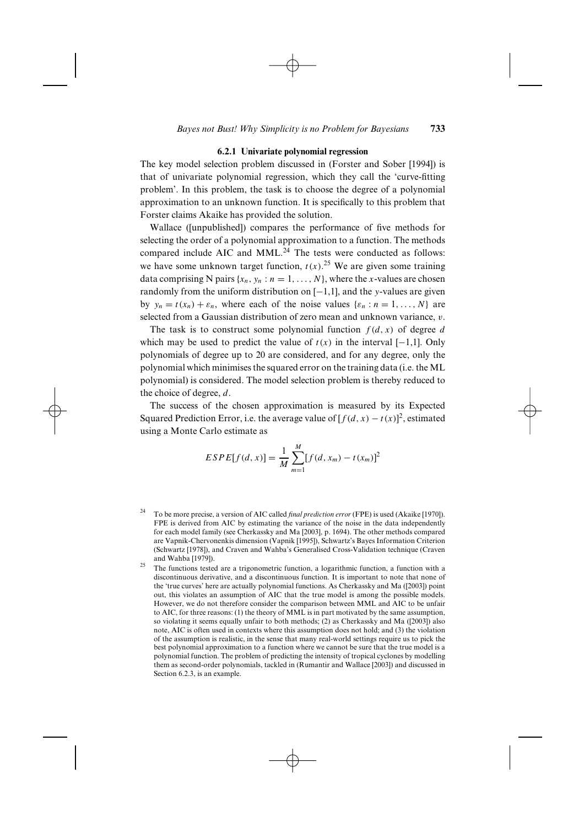#### **6.2.1 Univariate polynomial regression**

The key model selection problem discussed in (Forster and Sober [1994]) is that of univariate polynomial regression, which they call the 'curve-fitting problem'. In this problem, the task is to choose the degree of a polynomial approximation to an unknown function. It is specifically to this problem that Forster claims Akaike has provided the solution.

Wallace ([unpublished]) compares the performance of five methods for selecting the order of a polynomial approximation to a function. The methods compared include AIC and MML.<sup>24</sup> The tests were conducted as follows: we have some unknown target function,  $t(x)$ .<sup>25</sup> We are given some training data comprising N pairs  $\{x_n, y_n : n = 1, \ldots, N\}$ , where the *x*-values are chosen randomly from the uniform distribution on [−1,1], and the *y*-values are given by  $y_n = t(x_n) + \varepsilon_n$ , where each of the noise values  $\{\varepsilon_n : n = 1, ..., N\}$  are selected from a Gaussian distribution of zero mean and unknown variance, *v*.

The task is to construct some polynomial function  $f(d, x)$  of degree *d* which may be used to predict the value of  $t(x)$  in the interval  $[-1,1]$ . Only polynomials of degree up to 20 are considered, and for any degree, only the polynomial which minimises the squared error on the training data (i.e. the ML polynomial) is considered. The model selection problem is thereby reduced to the choice of degree, *d*.

The success of the chosen approximation is measured by its Expected Squared Prediction Error, i.e. the average value of  $[f(d, x) - t(x)]^2$ , estimated using a Monte Carlo estimate as

$$
ESPE[f(d, x)] = \frac{1}{M} \sum_{m=1}^{M} [f(d, x_m) - t(x_m)]^2
$$

<sup>24</sup> To be more precise, a version of AIC called *final prediction error* (FPE) is used (Akaike [1970]). FPE is derived from AIC by estimating the variance of the noise in the data independently for each model family (see Cherkassky and Ma [2003], p. 1694). The other methods compared are Vapnik-Chervonenkis dimension (Vapnik [1995]), Schwartz's Bayes Information Criterion (Schwartz [1978]), and Craven and Wahba's Generalised Cross-Validation technique (Craven and Wahba [1979]).

<sup>&</sup>lt;sup>25</sup> The functions tested are a trigonometric function, a logarithmic function, a function with a discontinuous derivative, and a discontinuous function. It is important to note that none of the 'true curves' here are actually polynomial functions. As Cherkassky and Ma ([2003]) point out, this violates an assumption of AIC that the true model is among the possible models. However, we do not therefore consider the comparison between MML and AIC to be unfair to AIC, for three reasons: (1) the theory of MML is in part motivated by the same assumption, so violating it seems equally unfair to both methods; (2) as Cherkassky and Ma ([2003]) also note, AIC is often used in contexts where this assumption does not hold; and (3) the violation of the assumption is realistic, in the sense that many real-world settings require us to pick the best polynomial approximation to a function where we cannot be sure that the true model is a polynomial function. The problem of predicting the intensity of tropical cyclones by modelling them as second-order polynomials, tackled in (Rumantir and Wallace [2003]) and discussed in Section 6.2.3, is an example.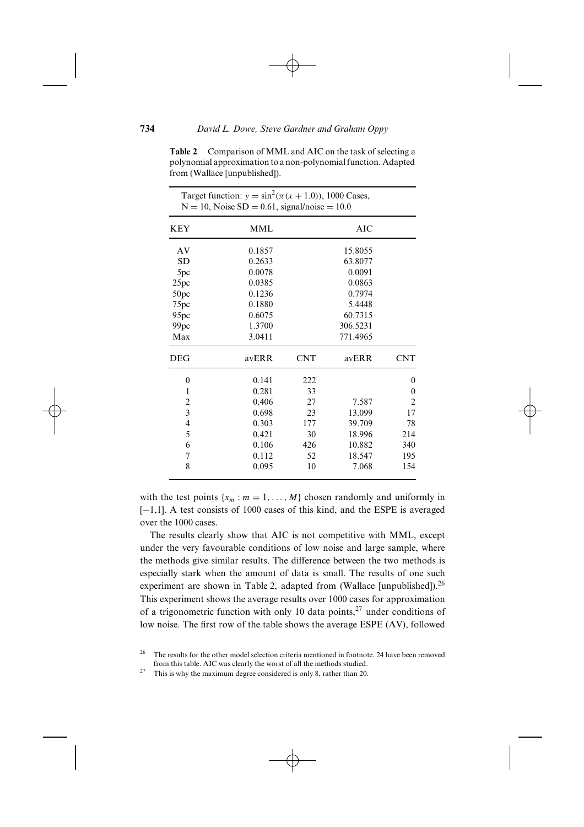| Target function: $y = \sin^2(\pi (x + 1.0))$ , 1000 Cases,<br>$N = 10$ , Noise SD = 0.61, signal/noise = 10.0 |        |            |            |                |  |
|---------------------------------------------------------------------------------------------------------------|--------|------------|------------|----------------|--|
| <b>KEY</b>                                                                                                    | MML    |            | <b>AIC</b> |                |  |
| AV                                                                                                            | 0.1857 |            | 15.8055    |                |  |
| <b>SD</b>                                                                                                     | 0.2633 |            | 63.8077    |                |  |
| 5pc                                                                                                           | 0.0078 |            | 0.0091     |                |  |
| 25pc                                                                                                          | 0.0385 |            | 0.0863     |                |  |
| 50pc                                                                                                          | 0.1236 |            | 0.7974     |                |  |
| 75pc                                                                                                          | 0.1880 |            | 5.4448     |                |  |
| 95pc                                                                                                          | 0.6075 |            | 60.7315    |                |  |
| 99 <sub>pc</sub>                                                                                              | 1.3700 |            | 306.5231   |                |  |
| Max                                                                                                           | 3.0411 |            | 771.4965   |                |  |
| <b>DEG</b>                                                                                                    | avERR  | <b>CNT</b> | avERR      | <b>CNT</b>     |  |
| $\mathbf{0}$                                                                                                  | 0.141  | 222        |            | $\theta$       |  |
| 1                                                                                                             | 0.281  | 33         |            | $\theta$       |  |
| $\overline{c}$                                                                                                | 0.406  | 27         | 7.587      | $\overline{2}$ |  |
| $\overline{3}$                                                                                                | 0.698  | 23         | 13.099     | 17             |  |
| $\overline{4}$                                                                                                | 0.303  | 177        | 39.709     | 78             |  |
| 5                                                                                                             | 0.421  | 30         | 18.996     | 214            |  |
| 6                                                                                                             | 0.106  | 426        | 10.882     | 340            |  |
| 7                                                                                                             | 0.112  | 52         | 18.547     | 195            |  |
| 8                                                                                                             | 0.095  | 10         | 7.068      | 154            |  |

**Table 2** Comparison of MML and AIC on the task of selecting a polynomial approximation to a non-polynomial function. Adapted from (Wallace [unpublished]).

with the test points  $\{x_m : m = 1, \ldots, M\}$  chosen randomly and uniformly in [-1,1]. A test consists of 1000 cases of this kind, and the ESPE is averaged over the 1000 cases.

The results clearly show that AIC is not competitive with MML, except under the very favourable conditions of low noise and large sample, where the methods give similar results. The difference between the two methods is especially stark when the amount of data is small. The results of one such experiment are shown in Table 2, adapted from (Wallace [unpublished]).<sup>26</sup> This experiment shows the average results over 1000 cases for approximation of a trigonometric function with only 10 data points, $2<sup>7</sup>$  under conditions of low noise. The first row of the table shows the average ESPE (AV), followed

<sup>&</sup>lt;sup>26</sup> The results for the other model selection criteria mentioned in footnote. 24 have been removed from this table. AIC was clearly the worst of all the methods studied.

<sup>&</sup>lt;sup>27</sup> This is why the maximum degree considered is only 8, rather than 20.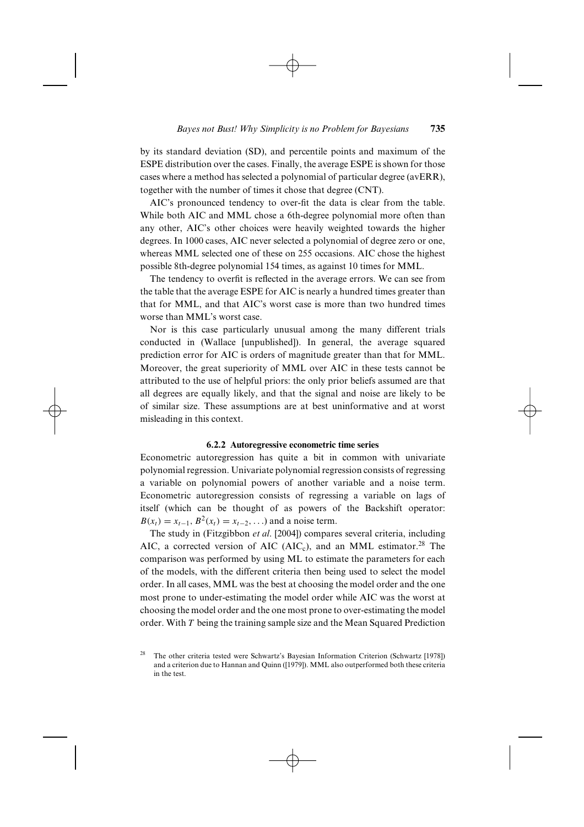by its standard deviation (SD), and percentile points and maximum of the ESPE distribution over the cases. Finally, the average ESPE is shown for those cases where a method has selected a polynomial of particular degree (avERR), together with the number of times it chose that degree (CNT).

AIC's pronounced tendency to over-fit the data is clear from the table. While both AIC and MML chose a 6th-degree polynomial more often than any other, AIC's other choices were heavily weighted towards the higher degrees. In 1000 cases, AIC never selected a polynomial of degree zero or one, whereas MML selected one of these on 255 occasions. AIC chose the highest possible 8th-degree polynomial 154 times, as against 10 times for MML.

The tendency to overfit is reflected in the average errors. We can see from the table that the average ESPE for AIC is nearly a hundred times greater than that for MML, and that AIC's worst case is more than two hundred times worse than MML's worst case.

Nor is this case particularly unusual among the many different trials conducted in (Wallace [unpublished]). In general, the average squared prediction error for AIC is orders of magnitude greater than that for MML. Moreover, the great superiority of MML over AIC in these tests cannot be attributed to the use of helpful priors: the only prior beliefs assumed are that all degrees are equally likely, and that the signal and noise are likely to be of similar size. These assumptions are at best uninformative and at worst misleading in this context.

#### **6.2.2 Autoregressive econometric time series**

Econometric autoregression has quite a bit in common with univariate polynomial regression. Univariate polynomial regression consists of regressing a variable on polynomial powers of another variable and a noise term. Econometric autoregression consists of regressing a variable on lags of itself (which can be thought of as powers of the Backshift operator:  $B(x_t) = x_{t-1}, B^2(x_t) = x_{t-2}, \ldots$ ) and a noise term.

The study in (Fitzgibbon *et al*. [2004]) compares several criteria, including AIC, a corrected version of AIC (AIC<sub>c</sub>), and an MML estimator.<sup>28</sup> The comparison was performed by using ML to estimate the parameters for each of the models, with the different criteria then being used to select the model order. In all cases, MML was the best at choosing the model order and the one most prone to under-estimating the model order while AIC was the worst at choosing the model order and the one most prone to over-estimating the model order. With *T* being the training sample size and the Mean Squared Prediction

<sup>28</sup> The other criteria tested were Schwartz's Bayesian Information Criterion (Schwartz [1978]) and a criterion due to Hannan and Quinn ([1979]). MML also outperformed both these criteria in the test.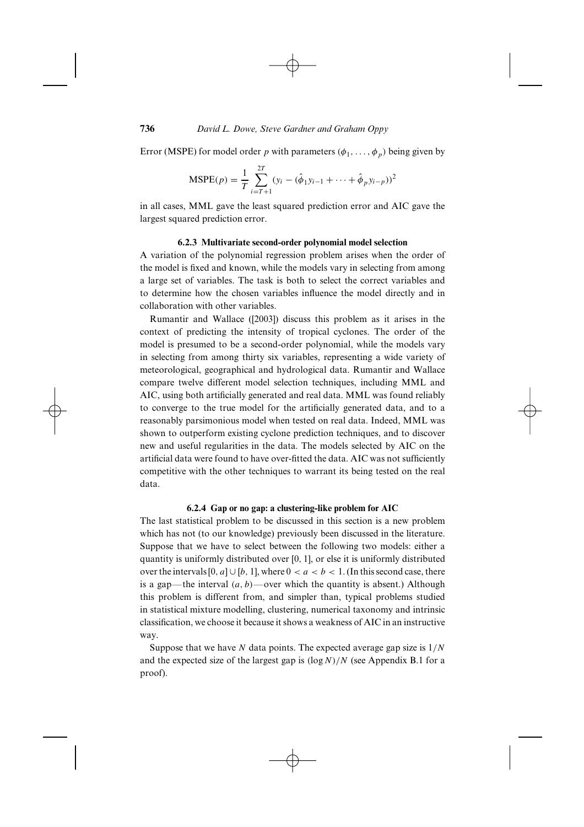Error (MSPE) for model order *p* with parameters  $(\phi_1, \ldots, \phi_n)$  being given by

$$
\text{MSPE}(p) = \frac{1}{T} \sum_{i=T+1}^{2T} (y_i - (\hat{\phi}_1 y_{i-1} + \dots + \hat{\phi}_p y_{i-p}))^2
$$

in all cases, MML gave the least squared prediction error and AIC gave the largest squared prediction error.

#### **6.2.3 Multivariate second-order polynomial model selection**

A variation of the polynomial regression problem arises when the order of the model is fixed and known, while the models vary in selecting from among a large set of variables. The task is both to select the correct variables and to determine how the chosen variables influence the model directly and in collaboration with other variables.

Rumantir and Wallace ([2003]) discuss this problem as it arises in the context of predicting the intensity of tropical cyclones. The order of the model is presumed to be a second-order polynomial, while the models vary in selecting from among thirty six variables, representing a wide variety of meteorological, geographical and hydrological data. Rumantir and Wallace compare twelve different model selection techniques, including MML and AIC, using both artificially generated and real data. MML was found reliably to converge to the true model for the artificially generated data, and to a reasonably parsimonious model when tested on real data. Indeed, MML was shown to outperform existing cyclone prediction techniques, and to discover new and useful regularities in the data. The models selected by AIC on the artificial data were found to have over-fitted the data. AIC was not sufficiently competitive with the other techniques to warrant its being tested on the real data.

#### **6.2.4 Gap or no gap: a clustering-like problem for AIC**

The last statistical problem to be discussed in this section is a new problem which has not (to our knowledge) previously been discussed in the literature. Suppose that we have to select between the following two models: either a quantity is uniformly distributed over [0*,* 1], or else it is uniformly distributed over the intervals  $[0, a] \cup [b, 1]$ , where  $0 < a < b < 1$ . (In this second case, there is a gap—the interval  $(a, b)$ —over which the quantity is absent.) Although this problem is different from, and simpler than, typical problems studied in statistical mixture modelling, clustering, numerical taxonomy and intrinsic classification, we choose it because it shows a weakness of AIC in an instructive way.

Suppose that we have *N* data points. The expected average gap size is 1*/N* and the expected size of the largest gap is  $(\log N)/N$  (see Appendix B.1 for a proof).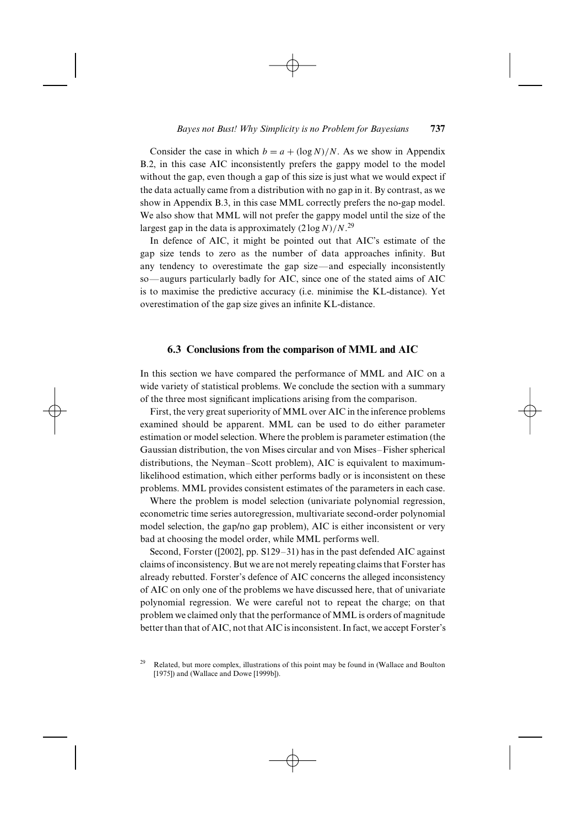Consider the case in which  $b = a + (\log N)/N$ . As we show in Appendix B.2, in this case AIC inconsistently prefers the gappy model to the model without the gap, even though a gap of this size is just what we would expect if the data actually came from a distribution with no gap in it. By contrast, as we show in Appendix B.3, in this case MML correctly prefers the no-gap model. We also show that MML will not prefer the gappy model until the size of the largest gap in the data is approximately *(*2 log *N )/N*. 29

In defence of AIC, it might be pointed out that AIC's estimate of the gap size tends to zero as the number of data approaches infinity. But any tendency to overestimate the gap size—and especially inconsistently so—augurs particularly badly for AIC, since one of the stated aims of AIC is to maximise the predictive accuracy (i.e. minimise the KL-distance). Yet overestimation of the gap size gives an infinite KL-distance.

#### **6.3 Conclusions from the comparison of MML and AIC**

In this section we have compared the performance of MML and AIC on a wide variety of statistical problems. We conclude the section with a summary of the three most significant implications arising from the comparison.

First, the very great superiority of MML over AIC in the inference problems examined should be apparent. MML can be used to do either parameter estimation or model selection. Where the problem is parameter estimation (the Gaussian distribution, the von Mises circular and von Mises–Fisher spherical distributions, the Neyman–Scott problem), AIC is equivalent to maximumlikelihood estimation, which either performs badly or is inconsistent on these problems. MML provides consistent estimates of the parameters in each case.

Where the problem is model selection (univariate polynomial regression, econometric time series autoregression, multivariate second-order polynomial model selection, the gap/no gap problem), AIC is either inconsistent or very bad at choosing the model order, while MML performs well.

Second, Forster ([2002], pp. S129–31) has in the past defended AIC against claims of inconsistency. But we are not merely repeating claims that Forster has already rebutted. Forster's defence of AIC concerns the alleged inconsistency of AIC on only one of the problems we have discussed here, that of univariate polynomial regression. We were careful not to repeat the charge; on that problem we claimed only that the performance of MML is orders of magnitude better than that of AIC, not that AIC is inconsistent. In fact, we accept Forster's

Related, but more complex, illustrations of this point may be found in (Wallace and Boulton [1975]) and (Wallace and Dowe [1999b]).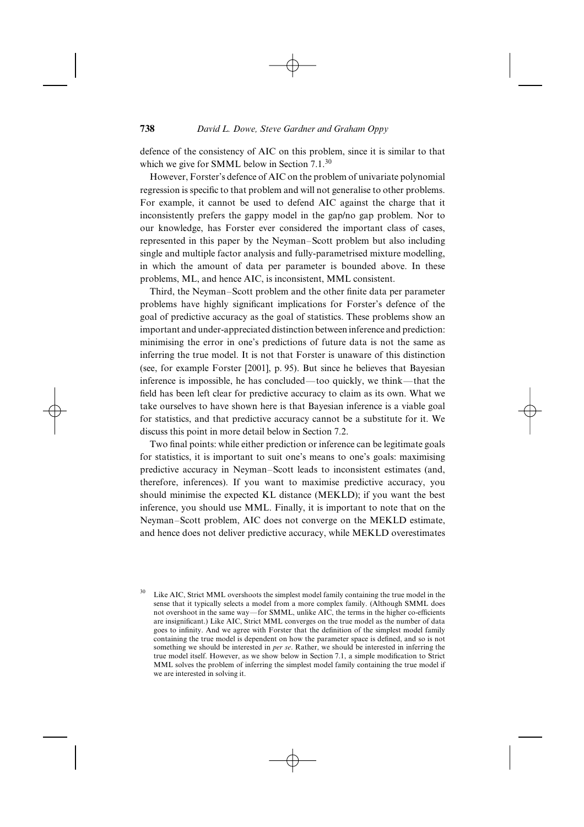defence of the consistency of AIC on this problem, since it is similar to that which we give for SMML below in Section 7.1.<sup>30</sup>

However, Forster's defence of AIC on the problem of univariate polynomial regression is specific to that problem and will not generalise to other problems. For example, it cannot be used to defend AIC against the charge that it inconsistently prefers the gappy model in the gap/no gap problem. Nor to our knowledge, has Forster ever considered the important class of cases, represented in this paper by the Neyman–Scott problem but also including single and multiple factor analysis and fully-parametrised mixture modelling, in which the amount of data per parameter is bounded above. In these problems, ML, and hence AIC, is inconsistent, MML consistent.

Third, the Neyman–Scott problem and the other finite data per parameter problems have highly significant implications for Forster's defence of the goal of predictive accuracy as the goal of statistics. These problems show an important and under-appreciated distinction between inference and prediction: minimising the error in one's predictions of future data is not the same as inferring the true model. It is not that Forster is unaware of this distinction (see, for example Forster [2001], p. 95). But since he believes that Bayesian inference is impossible, he has concluded—too quickly, we think—that the field has been left clear for predictive accuracy to claim as its own. What we take ourselves to have shown here is that Bayesian inference is a viable goal for statistics, and that predictive accuracy cannot be a substitute for it. We discuss this point in more detail below in Section 7.2.

Two final points: while either prediction or inference can be legitimate goals for statistics, it is important to suit one's means to one's goals: maximising predictive accuracy in Neyman–Scott leads to inconsistent estimates (and, therefore, inferences). If you want to maximise predictive accuracy, you should minimise the expected KL distance (MEKLD); if you want the best inference, you should use MML. Finally, it is important to note that on the Neyman–Scott problem, AIC does not converge on the MEKLD estimate, and hence does not deliver predictive accuracy, while MEKLD overestimates

<sup>&</sup>lt;sup>30</sup> Like AIC, Strict MML overshoots the simplest model family containing the true model in the sense that it typically selects a model from a more complex family. (Although SMML does not overshoot in the same way—for SMML, unlike AIC, the terms in the higher co-efficients are insignificant.) Like AIC, Strict MML converges on the true model as the number of data goes to infinity. And we agree with Forster that the definition of the simplest model family containing the true model is dependent on how the parameter space is defined, and so is not something we should be interested in *per se*. Rather, we should be interested in inferring the true model itself. However, as we show below in Section 7.1, a simple modification to Strict MML solves the problem of inferring the simplest model family containing the true model if we are interested in solving it.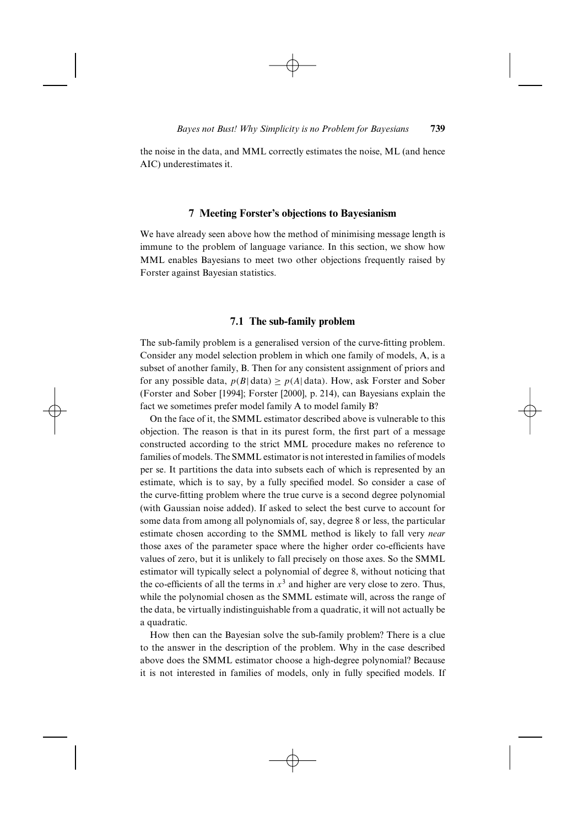the noise in the data, and MML correctly estimates the noise, ML (and hence AIC) underestimates it.

# **7 Meeting Forster's objections to Bayesianism**

We have already seen above how the method of minimising message length is immune to the problem of language variance. In this section, we show how MML enables Bayesians to meet two other objections frequently raised by Forster against Bayesian statistics.

# **7.1 The sub-family problem**

The sub-family problem is a generalised version of the curve-fitting problem. Consider any model selection problem in which one family of models, A, is a subset of another family, B. Then for any consistent assignment of priors and for any possible data,  $p(B|\text{data}) \geq p(A|\text{data})$ . How, ask Forster and Sober (Forster and Sober [1994]; Forster [2000], p. 214), can Bayesians explain the fact we sometimes prefer model family A to model family B?

On the face of it, the SMML estimator described above is vulnerable to this objection. The reason is that in its purest form, the first part of a message constructed according to the strict MML procedure makes no reference to families of models. The SMML estimator is not interested in families of models per se. It partitions the data into subsets each of which is represented by an estimate, which is to say, by a fully specified model. So consider a case of the curve-fitting problem where the true curve is a second degree polynomial (with Gaussian noise added). If asked to select the best curve to account for some data from among all polynomials of, say, degree 8 or less, the particular estimate chosen according to the SMML method is likely to fall very *near* those axes of the parameter space where the higher order co-efficients have values of zero, but it is unlikely to fall precisely on those axes. So the SMML estimator will typically select a polynomial of degree 8, without noticing that the co-efficients of all the terms in  $x^3$  and higher are very close to zero. Thus, while the polynomial chosen as the SMML estimate will, across the range of the data, be virtually indistinguishable from a quadratic, it will not actually be a quadratic.

How then can the Bayesian solve the sub-family problem? There is a clue to the answer in the description of the problem. Why in the case described above does the SMML estimator choose a high-degree polynomial? Because it is not interested in families of models, only in fully specified models. If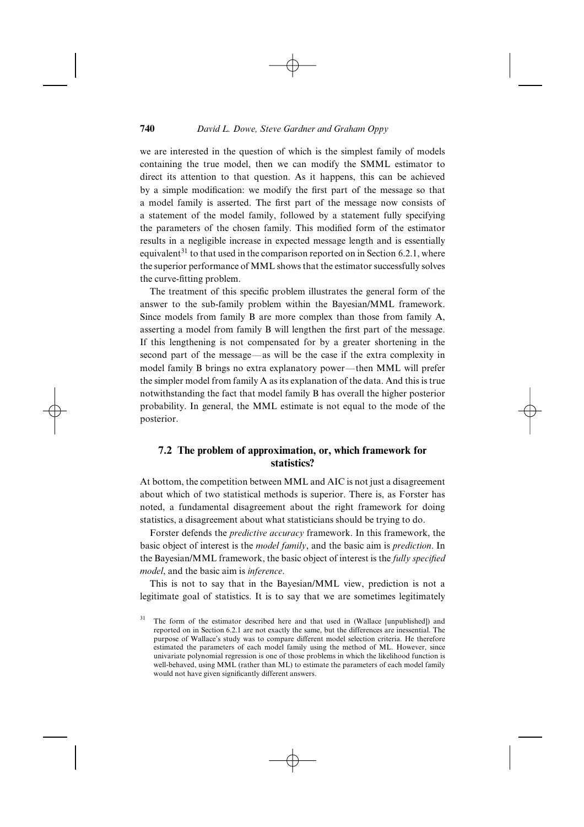we are interested in the question of which is the simplest family of models containing the true model, then we can modify the SMML estimator to direct its attention to that question. As it happens, this can be achieved by a simple modification: we modify the first part of the message so that a model family is asserted. The first part of the message now consists of a statement of the model family, followed by a statement fully specifying the parameters of the chosen family. This modified form of the estimator results in a negligible increase in expected message length and is essentially equivalent<sup>31</sup> to that used in the comparison reported on in Section 6.2.1, where the superior performance of MML shows that the estimator successfully solves the curve-fitting problem.

The treatment of this specific problem illustrates the general form of the answer to the sub-family problem within the Bayesian/MML framework. Since models from family B are more complex than those from family A, asserting a model from family B will lengthen the first part of the message. If this lengthening is not compensated for by a greater shortening in the second part of the message—as will be the case if the extra complexity in model family B brings no extra explanatory power—then MML will prefer the simpler model from family A as its explanation of the data. And this is true notwithstanding the fact that model family B has overall the higher posterior probability. In general, the MML estimate is not equal to the mode of the posterior.

# **7.2 The problem of approximation, or, which framework for statistics?**

At bottom, the competition between MML and AIC is not just a disagreement about which of two statistical methods is superior. There is, as Forster has noted, a fundamental disagreement about the right framework for doing statistics, a disagreement about what statisticians should be trying to do.

Forster defends the *predictive accuracy* framework. In this framework, the basic object of interest is the *model family*, and the basic aim is *prediction*. In the Bayesian/MML framework, the basic object of interest is the *fully specified model*, and the basic aim is *inference*.

This is not to say that in the Bayesian/MML view, prediction is not a legitimate goal of statistics. It is to say that we are sometimes legitimately

<sup>31</sup> The form of the estimator described here and that used in (Wallace [unpublished]) and reported on in Section 6.2.1 are not exactly the same, but the differences are inessential. The purpose of Wallace's study was to compare different model selection criteria. He therefore estimated the parameters of each model family using the method of ML. However, since univariate polynomial regression is one of those problems in which the likelihood function is well-behaved, using MML (rather than ML) to estimate the parameters of each model family would not have given significantly different answers.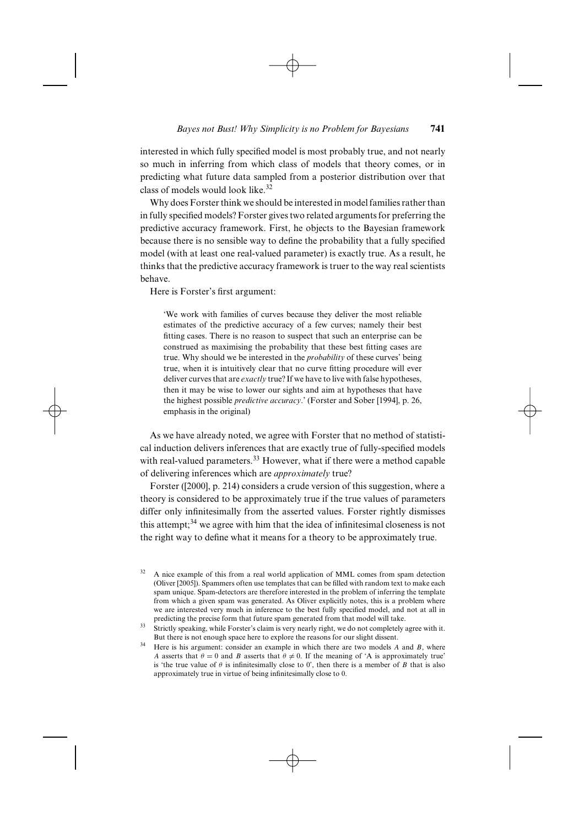interested in which fully specified model is most probably true, and not nearly so much in inferring from which class of models that theory comes, or in predicting what future data sampled from a posterior distribution over that class of models would look like.<sup>32</sup>

Why does Forster think we should be interested in model families rather than in fully specified models? Forster gives two related arguments for preferring the predictive accuracy framework. First, he objects to the Bayesian framework because there is no sensible way to define the probability that a fully specified model (with at least one real-valued parameter) is exactly true. As a result, he thinks that the predictive accuracy framework is truer to the way real scientists behave.

Here is Forster's first argument:

'We work with families of curves because they deliver the most reliable estimates of the predictive accuracy of a few curves; namely their best fitting cases. There is no reason to suspect that such an enterprise can be construed as maximising the probability that these best fitting cases are true. Why should we be interested in the *probability* of these curves' being true, when it is intuitively clear that no curve fitting procedure will ever deliver curves that are *exactly* true? If we have to live with false hypotheses, then it may be wise to lower our sights and aim at hypotheses that have the highest possible *predictive accuracy*.' (Forster and Sober [1994], p. 26, emphasis in the original)

As we have already noted, we agree with Forster that no method of statistical induction delivers inferences that are exactly true of fully-specified models with real-valued parameters.<sup>33</sup> However, what if there were a method capable of delivering inferences which are *approximately* true?

Forster ([2000], p. 214) considers a crude version of this suggestion, where a theory is considered to be approximately true if the true values of parameters differ only infinitesimally from the asserted values. Forster rightly dismisses this attempt; $34$  we agree with him that the idea of infinitesimal closeness is not the right way to define what it means for a theory to be approximately true.

 $32$  A nice example of this from a real world application of MML comes from spam detection (Oliver [2005]). Spammers often use templates that can be filled with random text to make each spam unique. Spam-detectors are therefore interested in the problem of inferring the template from which a given spam was generated. As Oliver explicitly notes, this is a problem where we are interested very much in inference to the best fully specified model, and not at all in predicting the precise form that future spam generated from that model will take.

<sup>33</sup> Strictly speaking, while Forster's claim is very nearly right, we do not completely agree with it. But there is not enough space here to explore the reasons for our slight dissent.

<sup>34</sup> Here is his argument: consider an example in which there are two models *A* and *B*, where *A* asserts that  $\theta = 0$  and *B* asserts that  $\theta \neq 0$ . If the meaning of 'A is approximately true' is 'the true value of  $\theta$  is infinitesimally close to 0', then there is a member of *B* that is also approximately true in virtue of being infinitesimally close to 0.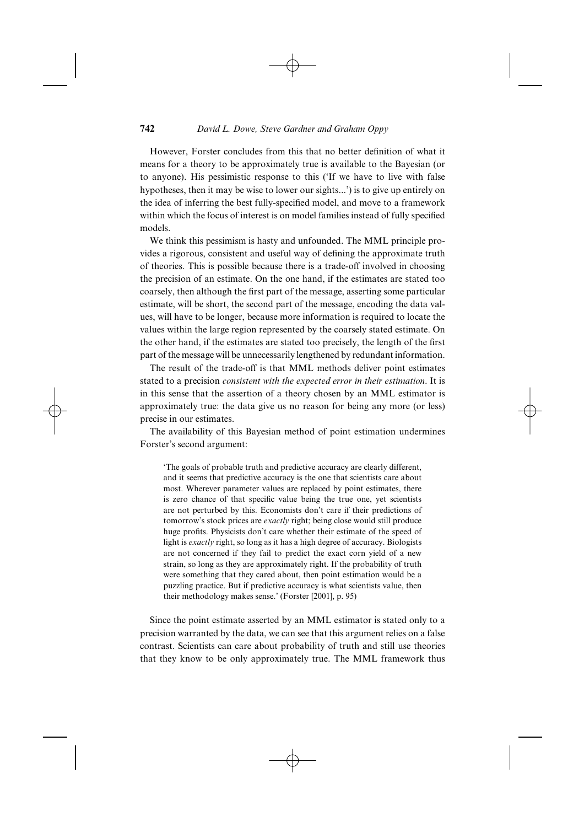However, Forster concludes from this that no better definition of what it means for a theory to be approximately true is available to the Bayesian (or to anyone). His pessimistic response to this ('If we have to live with false hypotheses, then it may be wise to lower our sights...') is to give up entirely on the idea of inferring the best fully-specified model, and move to a framework within which the focus of interest is on model families instead of fully specified models.

We think this pessimism is hasty and unfounded. The MML principle provides a rigorous, consistent and useful way of defining the approximate truth of theories. This is possible because there is a trade-off involved in choosing the precision of an estimate. On the one hand, if the estimates are stated too coarsely, then although the first part of the message, asserting some particular estimate, will be short, the second part of the message, encoding the data values, will have to be longer, because more information is required to locate the values within the large region represented by the coarsely stated estimate. On the other hand, if the estimates are stated too precisely, the length of the first part of the message will be unnecessarily lengthened by redundant information.

The result of the trade-off is that MML methods deliver point estimates stated to a precision *consistent with the expected error in their estimation*. It is in this sense that the assertion of a theory chosen by an MML estimator is approximately true: the data give us no reason for being any more (or less) precise in our estimates.

The availability of this Bayesian method of point estimation undermines Forster's second argument:

'The goals of probable truth and predictive accuracy are clearly different, and it seems that predictive accuracy is the one that scientists care about most. Wherever parameter values are replaced by point estimates, there is zero chance of that specific value being the true one, yet scientists are not perturbed by this. Economists don't care if their predictions of tomorrow's stock prices are *exactly* right; being close would still produce huge profits. Physicists don't care whether their estimate of the speed of light is *exactly* right, so long as it has a high degree of accuracy. Biologists are not concerned if they fail to predict the exact corn yield of a new strain, so long as they are approximately right. If the probability of truth were something that they cared about, then point estimation would be a puzzling practice. But if predictive accuracy is what scientists value, then their methodology makes sense.' (Forster [2001], p. 95)

Since the point estimate asserted by an MML estimator is stated only to a precision warranted by the data, we can see that this argument relies on a false contrast. Scientists can care about probability of truth and still use theories that they know to be only approximately true. The MML framework thus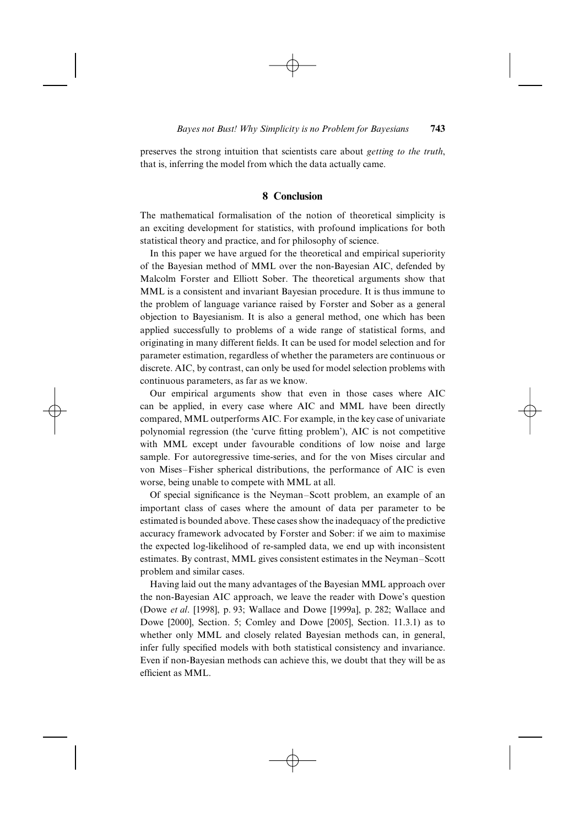preserves the strong intuition that scientists care about *getting to the truth*, that is, inferring the model from which the data actually came.

#### **8 Conclusion**

The mathematical formalisation of the notion of theoretical simplicity is an exciting development for statistics, with profound implications for both statistical theory and practice, and for philosophy of science.

In this paper we have argued for the theoretical and empirical superiority of the Bayesian method of MML over the non-Bayesian AIC, defended by Malcolm Forster and Elliott Sober. The theoretical arguments show that MML is a consistent and invariant Bayesian procedure. It is thus immune to the problem of language variance raised by Forster and Sober as a general objection to Bayesianism. It is also a general method, one which has been applied successfully to problems of a wide range of statistical forms, and originating in many different fields. It can be used for model selection and for parameter estimation, regardless of whether the parameters are continuous or discrete. AIC, by contrast, can only be used for model selection problems with continuous parameters, as far as we know.

Our empirical arguments show that even in those cases where AIC can be applied, in every case where AIC and MML have been directly compared, MML outperforms AIC. For example, in the key case of univariate polynomial regression (the 'curve fitting problem'), AIC is not competitive with MML except under favourable conditions of low noise and large sample. For autoregressive time-series, and for the von Mises circular and von Mises–Fisher spherical distributions, the performance of AIC is even worse, being unable to compete with MML at all.

Of special significance is the Neyman–Scott problem, an example of an important class of cases where the amount of data per parameter to be estimated is bounded above. These cases show the inadequacy of the predictive accuracy framework advocated by Forster and Sober: if we aim to maximise the expected log-likelihood of re-sampled data, we end up with inconsistent estimates. By contrast, MML gives consistent estimates in the Neyman–Scott problem and similar cases.

Having laid out the many advantages of the Bayesian MML approach over the non-Bayesian AIC approach, we leave the reader with Dowe's question (Dowe *et al*. [1998], p. 93; Wallace and Dowe [1999a], p. 282; Wallace and Dowe [2000], Section. 5; Comley and Dowe [2005], Section. 11.3.1) as to whether only MML and closely related Bayesian methods can, in general, infer fully specified models with both statistical consistency and invariance. Even if non-Bayesian methods can achieve this, we doubt that they will be as efficient as MML.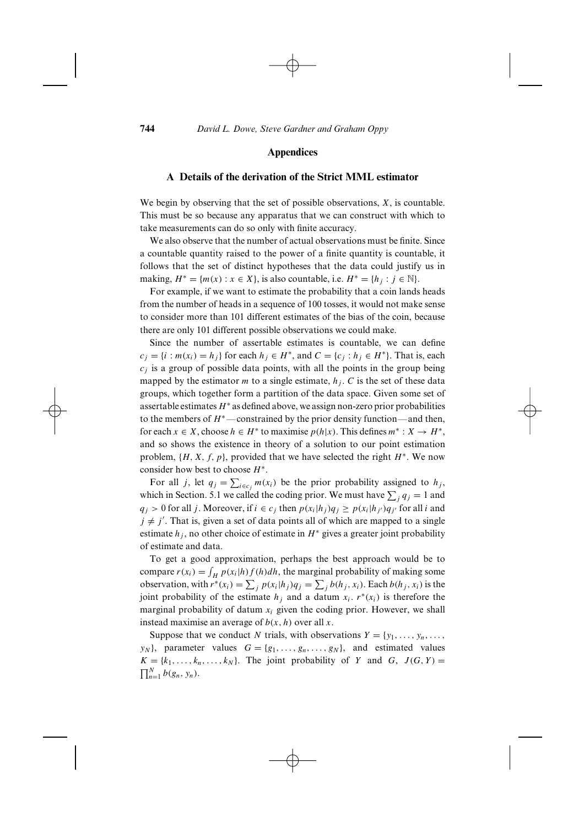#### **Appendices**

#### **A Details of the derivation of the Strict MML estimator**

We begin by observing that the set of possible observations, *X*, is countable. This must be so because any apparatus that we can construct with which to take measurements can do so only with finite accuracy.

We also observe that the number of actual observations must be finite. Since a countable quantity raised to the power of a finite quantity is countable, it follows that the set of distinct hypotheses that the data could justify us in making,  $H^* = \{m(x) : x \in X\}$ , is also countable, i.e.  $H^* = \{h_i : j \in \mathbb{N}\}$ .

For example, if we want to estimate the probability that a coin lands heads from the number of heads in a sequence of 100 tosses, it would not make sense to consider more than 101 different estimates of the bias of the coin, because there are only 101 different possible observations we could make.

Since the number of assertable estimates is countable, we can define  $c_j = \{i : m(x_i) = h_j\}$  for each  $h_j \in H^*$ , and  $C = \{c_j : h_j \in H^*\}$ . That is, each  $c_j$  is a group of possible data points, with all the points in the group being mapped by the estimator *m* to a single estimate,  $h_i$ . *C* is the set of these data groups, which together form a partition of the data space. Given some set of assertable estimates *H*<sup>∗</sup> as defined above, we assign non-zero prior probabilities to the members of *H*∗—constrained by the prior density function—and then, for each  $x \in X$ , choose  $h \in H^*$  to maximise  $p(h|x)$ . This defines  $m^* : X \to H^*$ , and so shows the existence in theory of a solution to our point estimation problem,  $\{H, X, f, p\}$ , provided that we have selected the right  $H^*$ . We now consider how best to choose *H*∗.

For all *j*, let  $q_j = \sum_{i \in c_j} m(x_i)$  be the prior probability assigned to  $h_j$ , which in Section. 5.1 we called the coding prior. We must have  $\sum_{j} q_j = 1$  and  $q_i$  > 0 for all *j*. Moreover, if  $i \in c_j$  then  $p(x_i|h_j)q_j \geq p(x_i|h_{j'})q_{j'}$  for all *i* and  $j \neq j'$ . That is, given a set of data points all of which are mapped to a single estimate  $h_j$ , no other choice of estimate in  $H^*$  gives a greater joint probability of estimate and data.

To get a good approximation, perhaps the best approach would be to compare  $r(x_i) = \int_H p(x_i|h) f(h) dh$ , the marginal probability of making some observation, with  $r^*(x_i) = \sum_j p(x_i | h_j) q_j = \sum_j b(h_j, x_i)$ . Each  $b(h_j, x_i)$  is the joint probability of the estimate  $h_j$  and a datum  $x_i$ .  $r^*(x_i)$  is therefore the marginal probability of datum  $x_i$  given the coding prior. However, we shall instead maximise an average of *b(x, h)* over all *x*.

Suppose that we conduct *N* trials, with observations  $Y = \{y_1, \ldots, y_n, \ldots\}$  $y_N$ }, parameter values  $G = \{g_1, \ldots, g_n, \ldots, g_N\}$ , and estimated values  $K = \{k_1, \ldots, k_n, \ldots, k_N\}$ . The joint probability of *Y* and *G*,  $J(G, Y) =$  $\prod_{n=1}^{N} b(g_n, y_n)$ .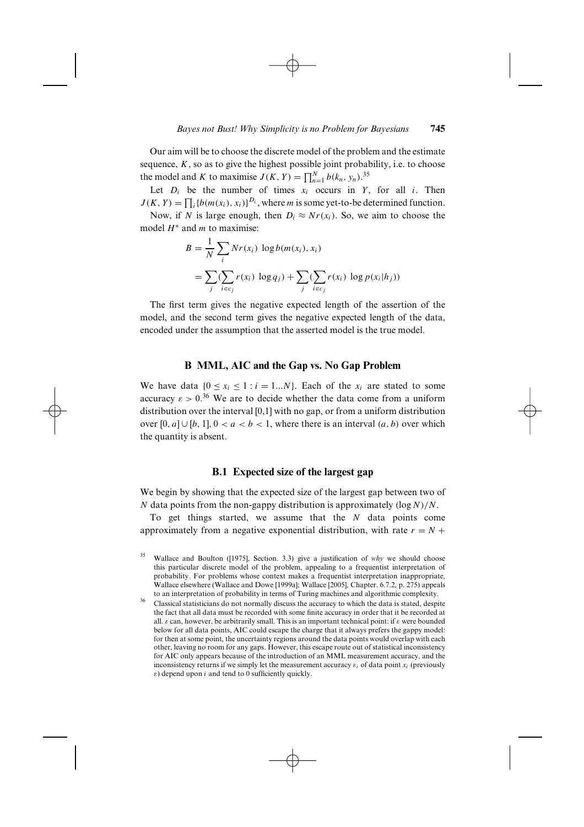Our aim will be to choose the discrete model of the problem and the estimate sequence,  $K$ , so as to give the highest possible joint probability, i.e. to choose the model and *K* to maximise  $J(K, Y) = \prod_{n=1}^{N} b(k_n, y_n)$ .<sup>35</sup>

Let  $D_i$  be the number of times  $x_i$  occurs in *Y*, for all *i*. Then  $J(K, Y) = \prod_i \{b(m(x_i), x_i)\}^{D_i}$ , where *m* is some yet-to-be determined function.

Now, if *N* is large enough, then  $D_i \approx Nr(x_i)$ . So, we aim to choose the model *H*<sup>∗</sup> and *m* to maximise:

$$
B = \frac{1}{N} \sum_{i} Nr(x_i) \log b(m(x_i), x_i)
$$
  
= 
$$
\sum_{j} (\sum_{i \in c_j} r(x_i) \log q_j) + \sum_{j} (\sum_{i \in c_j} r(x_i) \log p(x_i|h_j))
$$

The first term gives the negative expected length of the assertion of the model, and the second term gives the negative expected length of the data, encoded under the assumption that the asserted model is the true model.

# **B MML, AIC and the Gap vs. No Gap Problem**

We have data  $\{0 \le x_i \le 1 : i = 1...N\}$ . Each of the  $x_i$  are stated to some accuracy  $\varepsilon > 0$ <sup>36</sup> We are to decide whether the data come from a uniform distribution over the interval [0,1] with no gap, or from a uniform distribution over  $[0, a] \cup [b, 1]$ ,  $0 < a < b < 1$ , where there is an interval  $(a, b)$  over which the quantity is absent.

#### **B.1 Expected size of the largest gap**

We begin by showing that the expected size of the largest gap between two of *N* data points from the non-gappy distribution is approximately *(*log *N )/N*.

To get things started, we assume that the *N* data points come approximately from a negative exponential distribution, with rate  $r = N +$ 

<sup>35</sup> Wallace and Boulton ([1975], Section. 3.3) give a justification of *why* we should choose this particular discrete model of the problem, appealing to a frequentist interpretation of probability. For problems whose context makes a frequentist interpretation inappropriate, Wallace elsewhere (Wallace and Dowe [1999a]; Wallace [2005], Chapter. 6.7.2, p. 275) appeals to an interpretation of probability in terms of Turing machines and algorithmic complexity.

<sup>&</sup>lt;sup>36</sup> Classical statisticians do not normally discuss the accuracy to which the data is stated, despite the fact that all data must be recorded with some finite accuracy in order that it be recorded at all. *ε* can, however, be arbitrarily small. This is an important technical point: if *ε* were bounded below for all data points, AIC could escape the charge that it always prefers the gappy model: for then at some point, the uncertainty regions around the data points would overlap with each other, leaving no room for any gaps. However, this escape route out of statistical inconsistency for AIC only appears because of the introduction of an MML measurement accuracy, and the inconsistency returns if we simply let the measurement accuracy  $\varepsilon_i$  of data point  $x_i$  (previously  $\epsilon$ ) depend upon *i* and tend to 0 sufficiently quickly.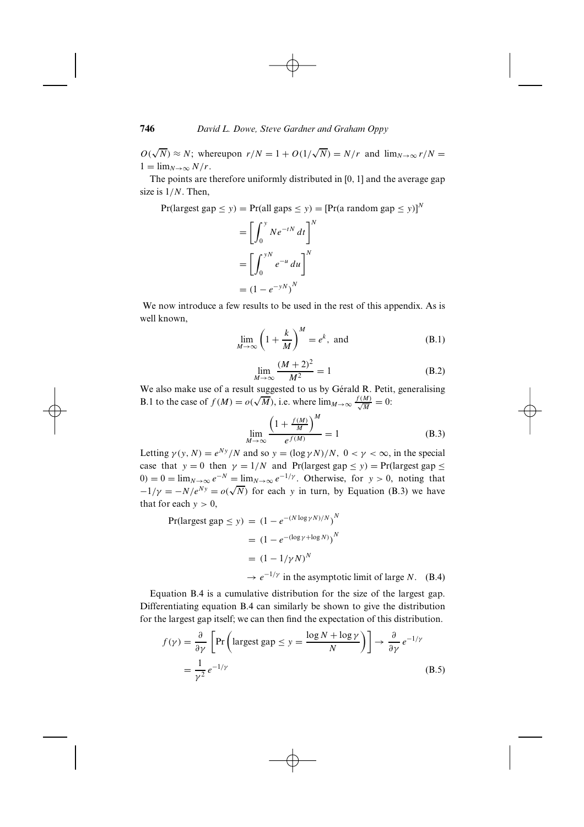$O(\sqrt{N}) \approx N$ ; whereupon  $r/N = 1 + O(1/\sqrt{N}) = N/r$  and  $\lim_{N \to \infty} r/N =$  $1 = \lim_{N \to \infty} N/r$ .

The points are therefore uniformly distributed in [0*,* 1] and the average gap size is 1*/N*. Then,

$$
\begin{aligned} \Pr(\text{largest gap} \le y) &= \Pr(\text{all gaps} \le y) = \left[\Pr(\text{a random gap} \le y)\right]^N \\ &= \left[\int_0^y N e^{-tN} \, dt\right]^N \\ &= \left[\int_0^{yN} e^{-u} \, du\right]^N \\ &= \left(1 - e^{-yN}\right)^N \end{aligned}
$$

We now introduce a few results to be used in the rest of this appendix. As is well known,

$$
\lim_{M \to \infty} \left( 1 + \frac{k}{M} \right)^M = e^k, \text{ and}
$$
 (B.1)

$$
\lim_{M \to \infty} \frac{(M+2)^2}{M^2} = 1
$$
 (B.2)

We also make use of a result suggested to us by Gérald R. Petit, generalising B.1 to the case of  $f(M) = o(\sqrt{M})$ , i.e. where  $\lim_{M\to\infty} \frac{f(M)}{\sqrt{M}} = 0$ :

$$
\lim_{M \to \infty} \frac{\left(1 + \frac{f(M)}{M}\right)^M}{e^{f(M)}} = 1
$$
\n(B.3)

Letting  $\gamma(y, N) = e^{Ny}/N$  and so  $y = (\log \gamma N)/N$ ,  $0 < \gamma < \infty$ , in the special case that  $y = 0$  then  $\gamma = 1/N$  and Pr(largest gap  $\le y$ ) = Pr(largest gap  $\le$ 0*)* = 0 =  $\lim_{N \to \infty} e^{-N}$  =  $\lim_{N \to \infty} e^{-1/\gamma}$ . Otherwise, for *y* > 0, noting that  $-1/\gamma = -N/e^{Ny} = o(\sqrt{N})$  for each *y* in turn, by Equation (B.3) we have that for each  $y > 0$ ,

$$
\begin{aligned} \Pr(\text{largest gap} \le y) &= (1 - e^{-(N \log \gamma N)/N})^N \\ &= (1 - e^{-(\log \gamma + \log N)})^N \\ &= (1 - 1/\gamma N)^N \\ &\to e^{-1/\gamma} \text{ in the asymptotic limit of large } N. \end{aligned} \tag{B.4}
$$

Equation B.4 is a cumulative distribution for the size of the largest gap. Differentiating equation B.4 can similarly be shown to give the distribution for the largest gap itself; we can then find the expectation of this distribution.

$$
f(\gamma) = \frac{\partial}{\partial \gamma} \left[ \Pr \left( \text{largest gap} \le y = \frac{\log N + \log \gamma}{N} \right) \right] \to \frac{\partial}{\partial \gamma} e^{-1/\gamma}
$$
  
=  $\frac{1}{\gamma^2} e^{-1/\gamma}$  (B.5)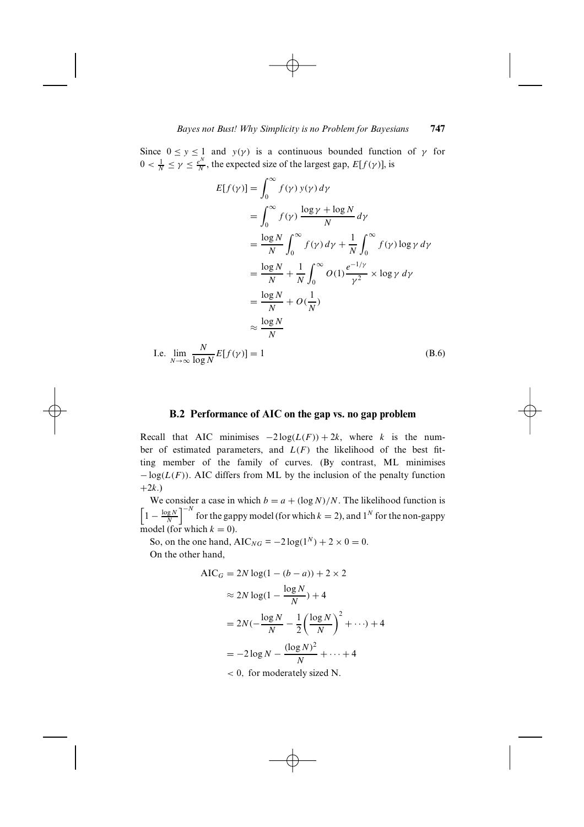Since  $0 \le y \le 1$  and  $y(y)$  is a continuous bounded function of  $\gamma$  for  $0 < \frac{1}{N} \le \gamma \le \frac{e^N}{N}$ , the expected size of the largest gap,  $E[f(\gamma)]$ , is

$$
E[f(\gamma)] = \int_0^{\infty} f(\gamma) y(\gamma) d\gamma
$$
  
\n
$$
= \int_0^{\infty} f(\gamma) \frac{\log \gamma + \log N}{N} d\gamma
$$
  
\n
$$
= \frac{\log N}{N} \int_0^{\infty} f(\gamma) d\gamma + \frac{1}{N} \int_0^{\infty} f(\gamma) \log \gamma d\gamma
$$
  
\n
$$
= \frac{\log N}{N} + \frac{1}{N} \int_0^{\infty} O(1) \frac{e^{-1/\gamma}}{\gamma^2} \times \log \gamma d\gamma
$$
  
\n
$$
= \frac{\log N}{N} + O(\frac{1}{N})
$$
  
\n
$$
\approx \frac{\log N}{N}
$$
  
\nI.e.  $\lim_{N \to \infty} \frac{N}{\log N} E[f(\gamma)] = 1$  (B.6)

# **B.2 Performance of AIC on the gap vs. no gap problem**

Recall that AIC minimises  $-2\log(L(F)) + 2k$ , where *k* is the number of estimated parameters, and  $L(F)$  the likelihood of the best fitting member of the family of curves. (By contrast, ML minimises  $-\log(L(F))$ . AIC differs from ML by the inclusion of the penalty function  $+2k.$ )

We consider a case in which  $b = a + (\log N)/N$ . The likelihood function is  $\left[1 - \frac{\log N}{N}\right]^{-N}$  for the gappy model (for which  $k = 2$ ), and  $1^N$  for the non-gappy model (for which  $k = 0$ ).

So, on the one hand,  $AIC_{NG} = -2 \log(1^N) + 2 \times 0 = 0$ . On the other hand,

$$
AICG = 2N log(1 - (b - a)) + 2 \times 2
$$
  
\n
$$
\approx 2N log(1 - \frac{log N}{N}) + 4
$$
  
\n
$$
= 2N(-\frac{log N}{N} - \frac{1}{2}(\frac{log N}{N})^{2} + \cdots) + 4
$$
  
\n
$$
= -2 log N - \frac{(log N)^{2}}{N} + \cdots + 4
$$

*<* 0*,* for moderately sized N.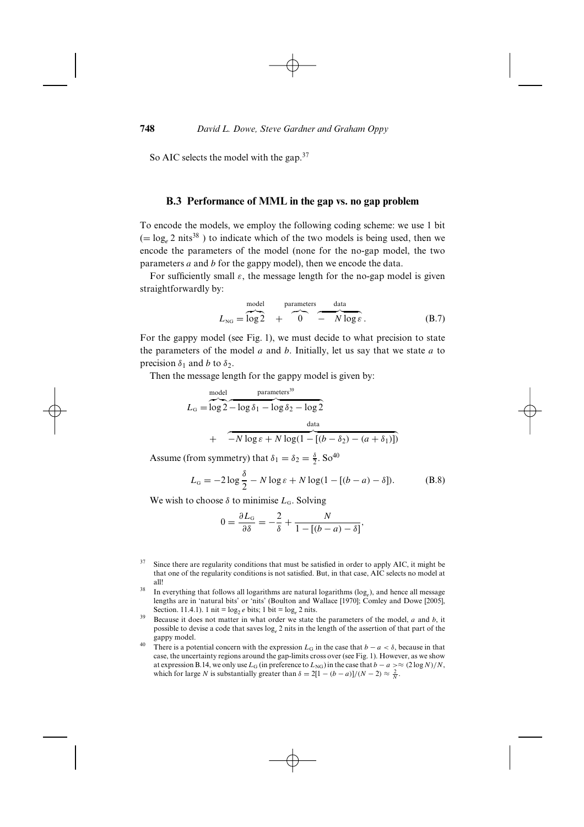So AIC selects the model with the gap.<sup>37</sup>

#### **B.3 Performance of MML in the gap vs. no gap problem**

To encode the models, we employ the following coding scheme: we use 1 bit  $(= \log_e 2 \text{ nits}^{38})$  to indicate which of the two models is being used, then we encode the parameters of the model (none for the no-gap model, the two parameters *a* and *b* for the gappy model), then we encode the data.

For sufficiently small  $\varepsilon$ , the message length for the no-gap model is given straightforwardly by:

model parameters data  

$$
L_{\text{NG}} = \overbrace{log2}^{parameters} + \overbrace{0}^{data} - N \overbrace{log \varepsilon}^{data}.
$$
 (B.7)

For the gappy model (see Fig. 1), we must decide to what precision to state the parameters of the model *a* and *b*. Initially, let us say that we state *a* to precision  $\delta_1$  and *b* to  $\delta_2$ .

Then the message length for the gappy model is given by:

model parameters<sup>39</sup>  
\n
$$
L_{G} = \overbrace{\log 2} - \log \delta_{1} - \log \delta_{2} - \log 2
$$
\n
$$
+ \sqrt{-N \log \varepsilon + N \log(1 - [(b - \delta_{2}) - (a + \delta_{1})])}
$$

Assume (from symmetry) that  $\delta_1 = \delta_2 = \frac{\delta}{2}$ . So<sup>40</sup>

$$
L_{\rm G} = -2\log\frac{\delta}{2} - N\log\varepsilon + N\log(1 - [(b - a) - \delta]).
$$
 (B.8)

We wish to choose  $\delta$  to minimise  $L_G$ . Solving

$$
0 = \frac{\partial L_{\mathcal{G}}}{\partial \delta} = -\frac{2}{\delta} + \frac{N}{1 - [(b - a) - \delta]},
$$

<sup>38</sup> In everything that follows all logarithms are natural logarithms (log*e*), and hence all message lengths are in 'natural bits' or 'nits' (Boulton and Wallace [1970]; Comley and Dowe [2005], Section. 11.4.1). 1 nit =  $\log_2 e$  bits; 1 bit =  $\log_e 2$  nits.<br><sup>39</sup> Because it does not matter in what order we state the parameters of the model, *a* and *b*, it

possible to devise a code that saves log*<sup>e</sup>* 2 nits in the length of the assertion of that part of the gappy model.

40 There is a potential concern with the expression  $L_G$  in the case that  $b - a < \delta$ , because in that case, the uncertainty regions around the gap-limits cross over (see Fig. 1). However, as we show at expression B.14, we only use  $L_G$  (in preference to  $L_{NG}$ ) in the case that  $b - a > \approx (2 \log N)/N$ , which for large *N* is substantially greater than  $\delta = 2[1 - (b - a)]/(N - 2) \approx \frac{2}{N}$ .

 $37$  Since there are regularity conditions that must be satisfied in order to apply AIC, it might be that one of the regularity conditions is not satisfied. But, in that case, AIC selects no model at all!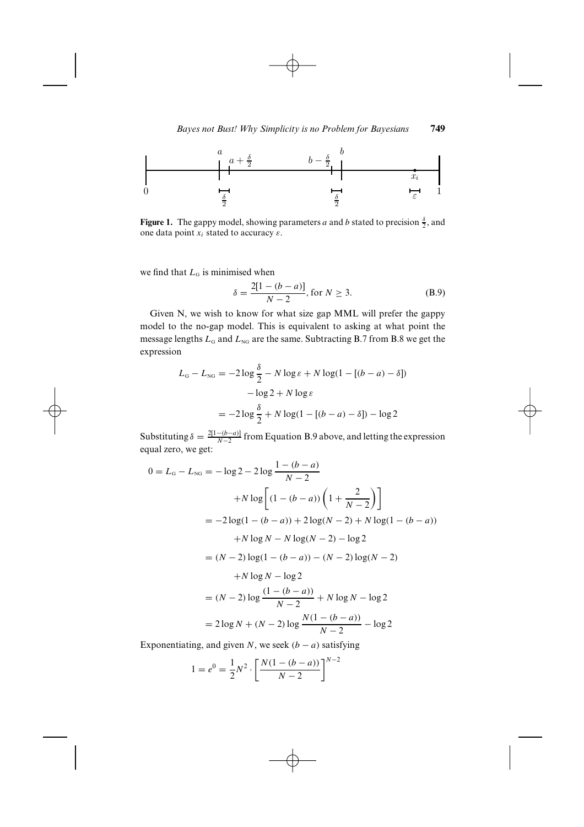

**Figure 1.** The gappy model, showing parameters *a* and *b* stated to precision  $\frac{\delta}{2}$ , and one data point *xi* stated to accuracy *ε*.

we find that  $L_G$  is minimised when

$$
\delta = \frac{2[1 - (b - a)]}{N - 2}, \text{ for } N \ge 3.
$$
 (B.9)

Given N, we wish to know for what size gap MML will prefer the gappy model to the no-gap model. This is equivalent to asking at what point the message lengths  $L_G$  and  $L_{NG}$  are the same. Subtracting B.7 from B.8 we get the expression

$$
L_{G} - L_{NG} = -2\log\frac{\delta}{2} - N\log\varepsilon + N\log(1 - [(b - a) - \delta])
$$

$$
- \log 2 + N\log\varepsilon
$$

$$
= -2\log\frac{\delta}{2} + N\log(1 - [(b - a) - \delta]) - \log 2
$$

Substituting  $\delta = \frac{2[1-(b-a)]}{N-2}$  from Equation B.9 above, and letting the expression equal zero, we get:

$$
0 = L_{G} - L_{NG} = -\log 2 - 2\log \frac{1 - (b - a)}{N - 2}
$$
  
+ N \log \left[ (1 - (b - a)) \left( 1 + \frac{2}{N - 2} \right) \right]  
= -2 \log(1 - (b - a)) + 2 \log(N - 2) + N \log(1 - (b - a))  
+ N \log N - N \log(N - 2) - \log 2  
= (N - 2) \log(1 - (b - a)) - (N - 2) \log(N - 2)  
+ N \log N - \log 2  
= (N - 2) \log \frac{(1 - (b - a))}{N - 2} + N \log N - \log 2  
= 2 \log N + (N - 2) \log \frac{N(1 - (b - a))}{N - 2} - \log 2

Exponentiating, and given *N*, we seek  $(b - a)$  satisfying

$$
1 = e^{0} = \frac{1}{2}N^{2} \cdot \left[\frac{N(1 - (b - a))}{N - 2}\right]^{N - 2}
$$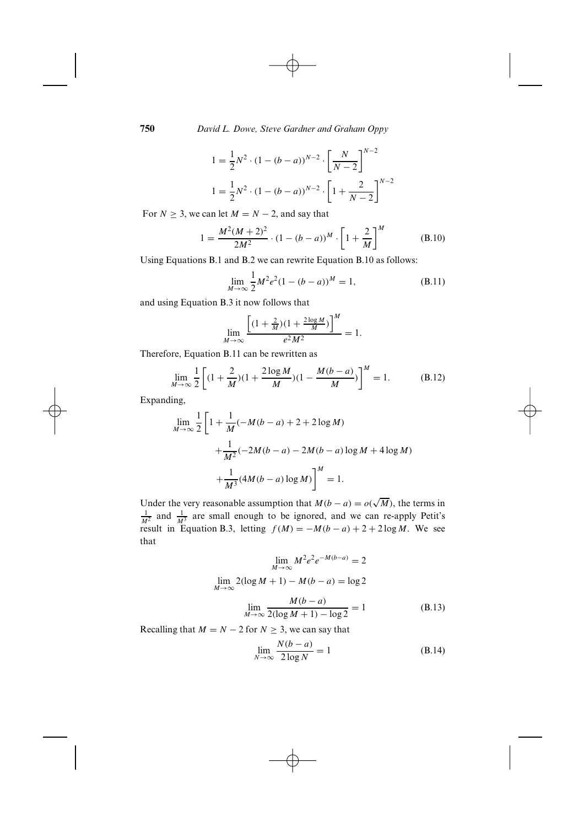$$
1 = \frac{1}{2}N^2 \cdot (1 - (b - a))^{N-2} \cdot \left[\frac{N}{N-2}\right]^{N-2}
$$

$$
1 = \frac{1}{2}N^2 \cdot (1 - (b - a))^{N-2} \cdot \left[1 + \frac{2}{N-2}\right]^{N-2}
$$

For  $N > 3$ , we can let  $M = N - 2$ , and say that

$$
1 = \frac{M^2(M+2)^2}{2M^2} \cdot (1 - (b - a))^M \cdot \left[1 + \frac{2}{M}\right]^M
$$
 (B.10)

Using Equations B.1 and B.2 we can rewrite Equation B.10 as follows:

$$
\lim_{M \to \infty} \frac{1}{2} M^2 e^2 (1 - (b - a))^M = 1,
$$
\n(B.11)

and using Equation B.3 it now follows that

$$
\lim_{M \to \infty} \frac{\left[ (1 + \frac{2}{M})(1 + \frac{2 \log M}{M}) \right]^M}{e^2 M^2} = 1.
$$

Therefore, Equation B.11 can be rewritten as

$$
\lim_{M \to \infty} \frac{1}{2} \left[ (1 + \frac{2}{M})(1 + \frac{2 \log M}{M})(1 - \frac{M(b-a)}{M}) \right]^M = 1.
$$
 (B.12)

Expanding,

$$
\lim_{M \to \infty} \frac{1}{2} \left[ 1 + \frac{1}{M} (-M(b - a) + 2 + 2 \log M) + \frac{1}{M^2} (-2M(b - a) - 2M(b - a) \log M + 4 \log M) + \frac{1}{M^3} (4M(b - a) \log M) \right]^M = 1.
$$

Under the very reasonable assumption that  $M(b − a) = o(\sqrt{M})$ , the terms in  $\frac{1}{M^2}$  and  $\frac{1}{M^3}$  are small enough to be ignored, and we can re-apply Petit's result in Equation B.3, letting  $f(M) = -M(b-a) + 2 + 2 \log M$ . We see that

$$
\lim_{M \to \infty} M^2 e^{2} e^{-M(b-a)} = 2
$$
  
\n
$$
\lim_{M \to \infty} 2(\log M + 1) - M(b - a) = \log 2
$$
  
\n
$$
\lim_{M \to \infty} \frac{M(b - a)}{2(\log M + 1) - \log 2} = 1
$$
 (B.13)

Recalling that  $M = N - 2$  for  $N \geq 3$ , we can say that

$$
\lim_{N \to \infty} \frac{N(b-a)}{2 \log N} = 1
$$
\n(B.14)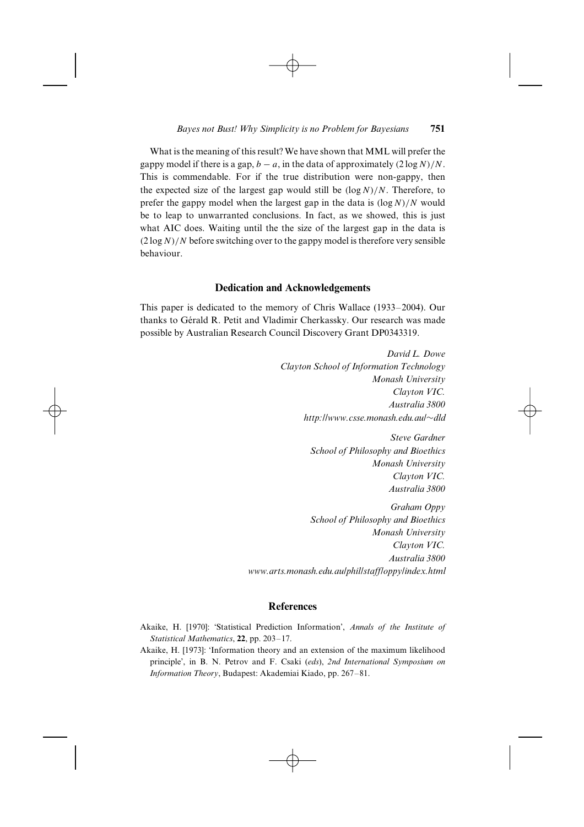What is the meaning of this result? We have shown that MML will prefer the gappy model if there is a gap,  $b - a$ , in the data of approximately  $(2 \log N)/N$ . This is commendable. For if the true distribution were non-gappy, then the expected size of the largest gap would still be  $(\log N)/N$ . Therefore, to prefer the gappy model when the largest gap in the data is  $(\log N)/N$  would be to leap to unwarranted conclusions. In fact, as we showed, this is just what AIC does. Waiting until the the size of the largest gap in the data is *(*2 log *N )/N* before switching over to the gappy model is therefore very sensible behaviour.

# **Dedication and Acknowledgements**

This paper is dedicated to the memory of Chris Wallace (1933–2004). Our thanks to Gérald R. Petit and Vladimir Cherkassky. Our research was made possible by Australian Research Council Discovery Grant DP0343319.

> *David L. Dowe Clayton School of Information Technology Monash University Clayton VIC. Australia 3800 http://www.csse.monash.edu.au/*∼*dld*

> > *Steve Gardner School of Philosophy and Bioethics Monash University Clayton VIC. Australia 3800*

*Graham Oppy School of Philosophy and Bioethics Monash University Clayton VIC. Australia 3800 www.arts.monash.edu.au/phil/staff/oppy/index.html*

# **References**

Akaike, H. [1970]: 'Statistical Prediction Information', *Annals of the Institute of Statistical Mathematics*, **22**, pp. 203–17.

Akaike, H. [1973]: 'Information theory and an extension of the maximum likelihood principle', in B. N. Petrov and F. Csaki (*eds*), *2nd International Symposium on Information Theory*, Budapest: Akademiai Kiado, pp. 267–81.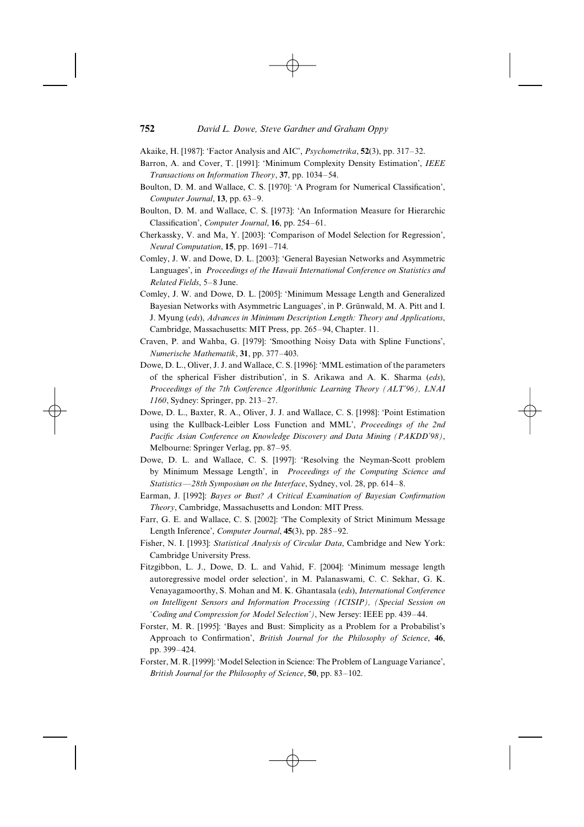Akaike, H. [1987]: 'Factor Analysis and AIC', *Psychometrika*, **52**(3), pp. 317–32.

- Barron, A. and Cover, T. [1991]: 'Minimum Complexity Density Estimation', *IEEE Transactions on Information Theory*, **37**, pp. 1034–54.
- Boulton, D. M. and Wallace, C. S. [1970]: 'A Program for Numerical Classification', *Computer Journal*, **13**, pp. 63–9.
- Boulton, D. M. and Wallace, C. S. [1973]: 'An Information Measure for Hierarchic Classification', *Computer Journal*, **16**, pp. 254–61.
- Cherkassky, V. and Ma, Y. [2003]: 'Comparison of Model Selection for Regression', *Neural Computation*, **15**, pp. 1691–714.
- Comley, J. W. and Dowe, D. L. [2003]: 'General Bayesian Networks and Asymmetric Languages', in *Proceedings of the Hawaii International Conference on Statistics and Related Fields*, 5–8 June.
- Comley, J. W. and Dowe, D. L. [2005]: 'Minimum Message Length and Generalized Bayesian Networks with Asymmetric Languages', in P. Grünwald, M. A. Pitt and I. J. Myung (*eds*), *Advances in Minimum Description Length: Theory and Applications*, Cambridge, Massachusetts: MIT Press, pp. 265–94, Chapter. 11.
- Craven, P. and Wahba, G. [1979]: 'Smoothing Noisy Data with Spline Functions', *Numerische Mathematik*, **31**, pp. 377–403.
- Dowe, D. L., Oliver, J. J. and Wallace, C. S. [1996]: 'MML estimation of the parameters of the spherical Fisher distribution', in S. Arikawa and A. K. Sharma (*eds*), *Proceedings of the 7th Conference Algorithmic Learning Theory (ALT'96), LNAI 1160*, Sydney: Springer, pp. 213–27.
- Dowe, D. L., Baxter, R. A., Oliver, J. J. and Wallace, C. S. [1998]: 'Point Estimation using the Kullback-Leibler Loss Function and MML', *Proceedings of the 2nd Pacific Asian Conference on Knowledge Discovery and Data Mining (PAKDD'98)*, Melbourne: Springer Verlag, pp. 87–95.
- Dowe, D. L. and Wallace, C. S. [1997]: 'Resolving the Neyman-Scott problem by Minimum Message Length', in *Proceedings of the Computing Science and Statistics—28th Symposium on the Interface*, Sydney, vol. 28, pp. 614–8.
- Earman, J. [1992]: *Bayes or Bust? A Critical Examination of Bayesian Confirmation Theory*, Cambridge, Massachusetts and London: MIT Press.
- Farr, G. E. and Wallace, C. S. [2002]: 'The Complexity of Strict Minimum Message Length Inference', *Computer Journal*, **45**(3), pp. 285–92.
- Fisher, N. I. [1993]: *Statistical Analysis of Circular Data*, Cambridge and New York: Cambridge University Press.
- Fitzgibbon, L. J., Dowe, D. L. and Vahid, F. [2004]: 'Minimum message length autoregressive model order selection', in M. Palanaswami, C. C. Sekhar, G. K. Venayagamoorthy, S. Mohan and M. K. Ghantasala (*eds*), *International Conference on Intelligent Sensors and Information Processing (ICISIP), (Special Session on 'Coding and Compression for Model Selection')*, New Jersey: IEEE pp. 439–44.
- Forster, M. R. [1995]: 'Bayes and Bust: Simplicity as a Problem for a Probabilist's Approach to Confirmation', *British Journal for the Philosophy of Science*, **46**, pp. 399–424.
- Forster, M. R. [1999]: 'Model Selection in Science: The Problem of Language Variance', *British Journal for the Philosophy of Science*, **50**, pp. 83–102.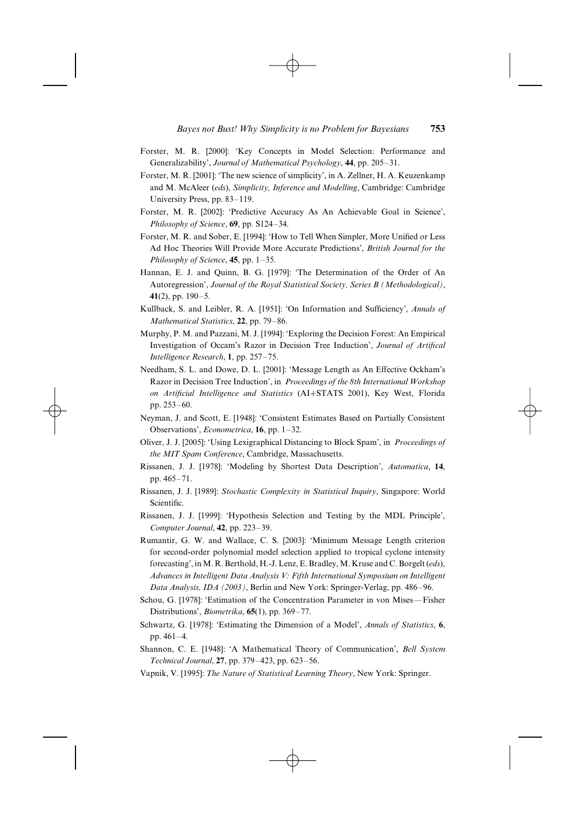- Forster, M. R. [2000]: 'Key Concepts in Model Selection: Performance and Generalizability', *Journal of Mathematical Psychology*, **44**, pp. 205–31.
- Forster, M. R. [2001]: 'The new science of simplicity', in A. Zellner, H. A. Keuzenkamp and M. McAleer (*eds*), *Simplicity, Inference and Modelling*, Cambridge: Cambridge University Press, pp. 83–119.
- Forster, M. R. [2002]: 'Predictive Accuracy As An Achievable Goal in Science', *Philosophy of Science*, **69**, pp. S124–34.
- Forster, M. R. and Sober, E. [1994]: 'How to Tell When Simpler, More Unified or Less Ad Hoc Theories Will Provide More Accurate Predictions', *British Journal for the Philosophy of Science*, **45**, pp. 1–35.
- Hannan, E. J. and Quinn, B. G. [1979]: 'The Determination of the Order of An Autoregression', *Journal of the Royal Statistical Society, Series B (Methodological)*, **41**(2), pp. 190–5.
- Kullback, S. and Leibler, R. A. [1951]: 'On Information and Sufficiency', *Annals of Mathematical Statistics*, **22**, pp. 79–86.
- Murphy, P. M. and Pazzani, M. J. [1994]: 'Exploring the Decision Forest: An Empirical Investigation of Occam's Razor in Decision Tree Induction', *Journal of Artifical Intelligence Research*, **1**, pp. 257–75.
- Needham, S. L. and Dowe, D. L. [2001]: 'Message Length as An Effective Ockham's Razor in Decision Tree Induction', in *Proceedings of the 8th International Workshop on Artificial Intelligence and Statistics* (AI+STATS 2001), Key West, Florida pp. 253–60.
- Neyman, J. and Scott, E. [1948]: 'Consistent Estimates Based on Partially Consistent Observations', *Econometrica*, **16**, pp. 1–32.
- Oliver, J. J. [2005]: 'Using Lexigraphical Distancing to Block Spam', in *Proceedings of the MIT Spam Conference*, Cambridge, Massachusetts.
- Rissanen, J. J. [1978]: 'Modeling by Shortest Data Description', *Automatica*, **14**, pp. 465–71.
- Rissanen, J. J. [1989]: *Stochastic Complexity in Statistical Inquiry*, Singapore: World Scientific.
- Rissanen, J. J. [1999]: 'Hypothesis Selection and Testing by the MDL Principle', *Computer Journal*, **42**, pp. 223–39.
- Rumantir, G. W. and Wallace, C. S. [2003]: 'Minimum Message Length criterion for second-order polynomial model selection applied to tropical cyclone intensity forecasting', in M. R. Berthold, H.-J. Lenz, E. Bradley, M. Kruse and C. Borgelt (*eds*), *Advances in Intelligent Data Analysis V: Fifth International Symposium on Intelligent Data Analysis, IDA (2003)*, Berlin and New York: Springer-Verlag, pp. 486–96.
- Schou, G. [1978]: 'Estimation of the Concentration Parameter in von Mises—Fisher Distributions', *Biometrika*, **65**(1), pp. 369–77.
- Schwartz, G. [1978]: 'Estimating the Dimension of a Model', *Annals of Statistics*, **6**, pp. 461–4.
- Shannon, C. E. [1948]: 'A Mathematical Theory of Communication', *Bell System Technical Journal*, **27**, pp. 379–423, pp. 623–56.
- Vapnik, V. [1995]: *The Nature of Statistical Learning Theory*, New York: Springer.